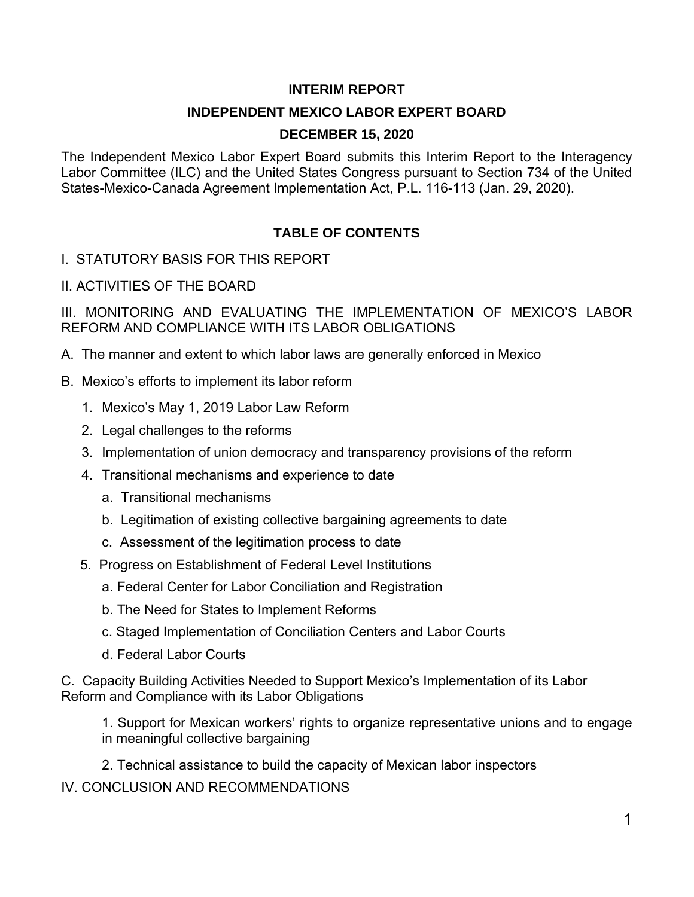#### **INTERIM REPORT**

#### **INDEPENDENT MEXICO LABOR EXPERT BOARD**

#### **DECEMBER 15, 2020**

The Independent Mexico Labor Expert Board submits this Interim Report to the Interagency Labor Committee (ILC) and the United States Congress pursuant to Section 734 of the United States-Mexico-Canada Agreement Implementation Act, P.L. 116-113 (Jan. 29, 2020).

## **TABLE OF CONTENTS**

I. STATUTORY BASIS FOR THIS REPORT

II. ACTIVITIES OF THE BOARD

III. MONITORING AND EVALUATING THE IMPLEMENTATION OF MEXICO'S LABOR REFORM AND COMPLIANCE WITH ITS LABOR OBLIGATIONS

- A. The manner and extent to which labor laws are generally enforced in Mexico
- B. Mexico's efforts to implement its labor reform
	- 1. Mexico's May 1, 2019 Labor Law Reform
	- 2. Legal challenges to the reforms
	- 3. Implementation of union democracy and transparency provisions of the reform
	- 4. Transitional mechanisms and experience to date
		- a. Transitional mechanisms
		- b. Legitimation of existing collective bargaining agreements to date
		- c. Assessment of the legitimation process to date
	- 5. Progress on Establishment of Federal Level Institutions
		- a. Federal Center for Labor Conciliation and Registration
		- b. The Need for States to Implement Reforms
		- c. Staged Implementation of Conciliation Centers and Labor Courts
		- d. Federal Labor Courts

C. Capacity Building Activities Needed to Support Mexico's Implementation of its Labor Reform and Compliance with its Labor Obligations

1. Support for Mexican workers' rights to organize representative unions and to engage in meaningful collective bargaining

2. Technical assistance to build the capacity of Mexican labor inspectors

IV. CONCLUSION AND RECOMMENDATIONS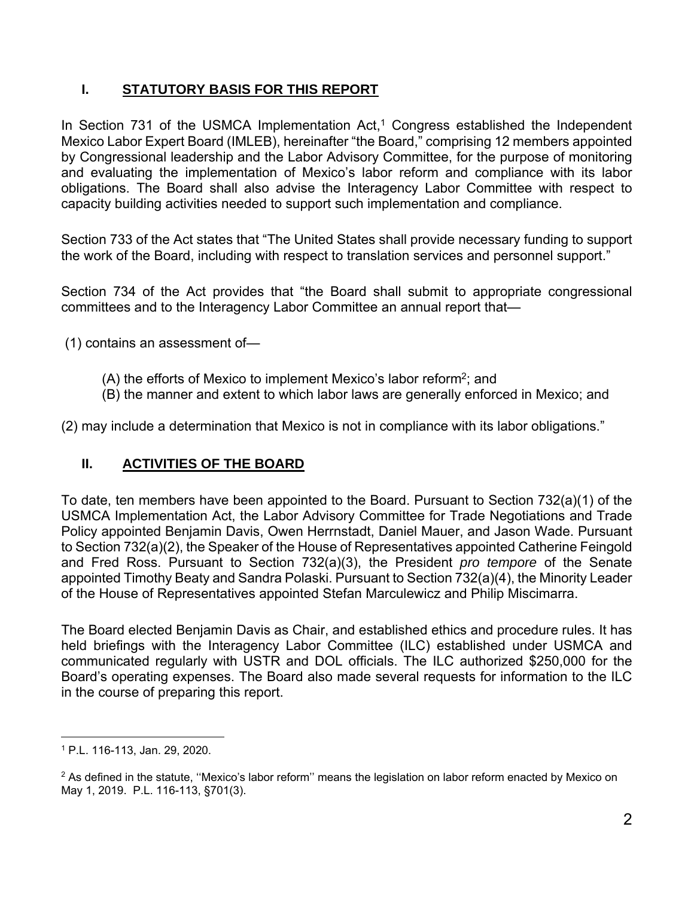# **I. STATUTORY BASIS FOR THIS REPORT**

In Section 731 of the USMCA Implementation  $Act<sub>1</sub><sup>1</sup> Congress established the Independent$ Mexico Labor Expert Board (IMLEB), hereinafter "the Board," comprising 12 members appointed by Congressional leadership and the Labor Advisory Committee, for the purpose of monitoring and evaluating the implementation of Mexico's labor reform and compliance with its labor obligations. The Board shall also advise the Interagency Labor Committee with respect to capacity building activities needed to support such implementation and compliance.

Section 733 of the Act states that "The United States shall provide necessary funding to support the work of the Board, including with respect to translation services and personnel support."

Section 734 of the Act provides that "the Board shall submit to appropriate congressional committees and to the Interagency Labor Committee an annual report that—

(1) contains an assessment of—

- (A) the efforts of Mexico to implement Mexico's labor reform<sup>2</sup>; and
- (B) the manner and extent to which labor laws are generally enforced in Mexico; and

(2) may include a determination that Mexico is not in compliance with its labor obligations."

# **II. ACTIVITIES OF THE BOARD**

To date, ten members have been appointed to the Board. Pursuant to Section 732(a)(1) of the USMCA Implementation Act, the Labor Advisory Committee for Trade Negotiations and Trade Policy appointed Benjamin Davis, Owen Herrnstadt, Daniel Mauer, and Jason Wade. Pursuant to Section 732(a)(2), the Speaker of the House of Representatives appointed Catherine Feingold and Fred Ross. Pursuant to Section 732(a)(3), the President *pro tempore* of the Senate appointed Timothy Beaty and Sandra Polaski. Pursuant to Section 732(a)(4), the Minority Leader of the House of Representatives appointed Stefan Marculewicz and Philip Miscimarra.

The Board elected Benjamin Davis as Chair, and established ethics and procedure rules. It has held briefings with the Interagency Labor Committee (ILC) established under USMCA and communicated regularly with USTR and DOL officials. The ILC authorized \$250,000 for the Board's operating expenses. The Board also made several requests for information to the ILC in the course of preparing this report.

l 1 P.L. 116-113, Jan. 29, 2020.

<sup>&</sup>lt;sup>2</sup> As defined in the statute, "Mexico's labor reform" means the legislation on labor reform enacted by Mexico on May 1, 2019. P.L. 116-113, §701(3).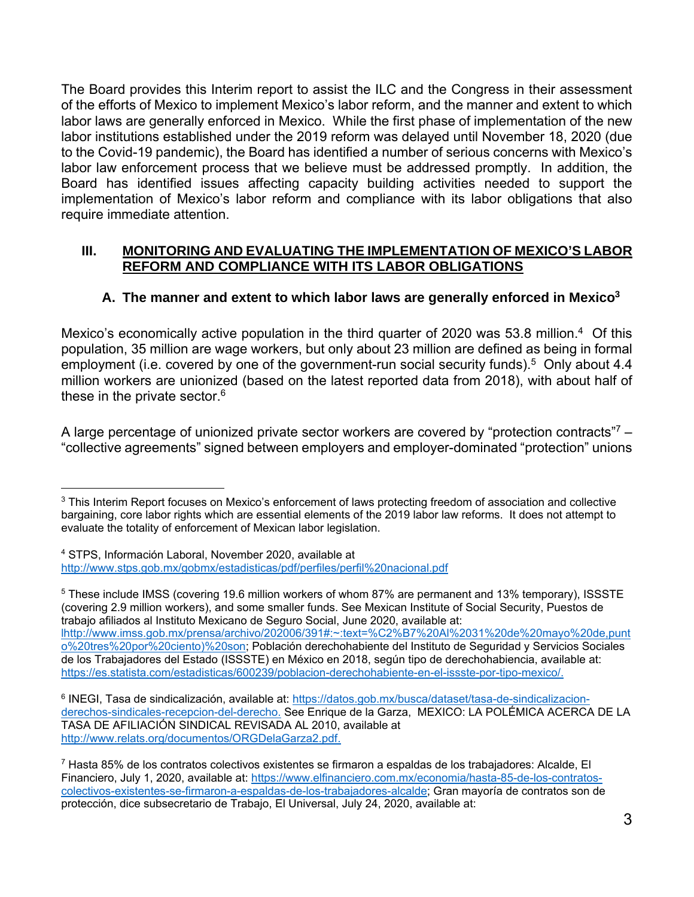The Board provides this Interim report to assist the ILC and the Congress in their assessment of the efforts of Mexico to implement Mexico's labor reform, and the manner and extent to which labor laws are generally enforced in Mexico. While the first phase of implementation of the new labor institutions established under the 2019 reform was delayed until November 18, 2020 (due to the Covid-19 pandemic), the Board has identified a number of serious concerns with Mexico's labor law enforcement process that we believe must be addressed promptly. In addition, the Board has identified issues affecting capacity building activities needed to support the implementation of Mexico's labor reform and compliance with its labor obligations that also require immediate attention.

### **III. MONITORING AND EVALUATING THE IMPLEMENTATION OF MEXICO'S LABOR REFORM AND COMPLIANCE WITH ITS LABOR OBLIGATIONS**

# **A. The manner and extent to which labor laws are generally enforced in Mexico3**

Mexico's economically active population in the third quarter of 2020 was 53.8 million.4 Of this population, 35 million are wage workers, but only about 23 million are defined as being in formal employment (i.e. covered by one of the government-run social security funds).<sup>5</sup> Only about 4.4 million workers are unionized (based on the latest reported data from 2018), with about half of these in the private sector.<sup>6</sup>

A large percentage of unionized private sector workers are covered by "protection contracts"<sup>7</sup> – "collective agreements" signed between employers and employer-dominated "protection" unions

5 These include IMSS (covering 19.6 million workers of whom 87% are permanent and 13% temporary), ISSSTE (covering 2.9 million workers), and some smaller funds. See Mexican Institute of Social Security, Puestos de trabajo afiliados al Instituto Mexicano de Seguro Social, June 2020, available at: lhttp://www.imss.gob.mx/prensa/archivo/202006/391#:~:text=%C2%B7%20Al%2031%20de%20mayo%20de,punt o%20tres%20por%20ciento)%20son; Población derechohabiente del Instituto de Seguridad y Servicios Sociales de los Trabajadores del Estado (ISSSTE) en México en 2018, según tipo de derechohabiencia, available at: https://es.statista.com/estadisticas/600239/poblacion-derechohabiente-en-el-issste-por-tipo-mexico/.

<sup>6</sup> INEGI, Tasa de sindicalización, available at: https://datos.gob.mx/busca/dataset/tasa-de-sindicalizacionderechos-sindicales-recepcion-del-derecho. See Enrique de la Garza, MEXICO: LA POLÉMICA ACERCA DE LA TASA DE AFILIACIÓN SINDICAL REVISADA AL 2010, available at http://www.relats.org/documentos/ORGDelaGarza2.pdf.

l <sup>3</sup> This Interim Report focuses on Mexico's enforcement of laws protecting freedom of association and collective bargaining, core labor rights which are essential elements of the 2019 labor law reforms. It does not attempt to evaluate the totality of enforcement of Mexican labor legislation.

<sup>4</sup> STPS, Información Laboral, November 2020, available at http://www.stps.gob.mx/gobmx/estadisticas/pdf/perfiles/perfil%20nacional.pdf

<sup>7</sup> Hasta 85% de los contratos colectivos existentes se firmaron a espaldas de los trabajadores: Alcalde, El Financiero, July 1, 2020, available at: https://www.elfinanciero.com.mx/economia/hasta-85-de-los-contratoscolectivos-existentes-se-firmaron-a-espaldas-de-los-trabajadores-alcalde; Gran mayoría de contratos son de protección, dice subsecretario de Trabajo, El Universal, July 24, 2020, available at: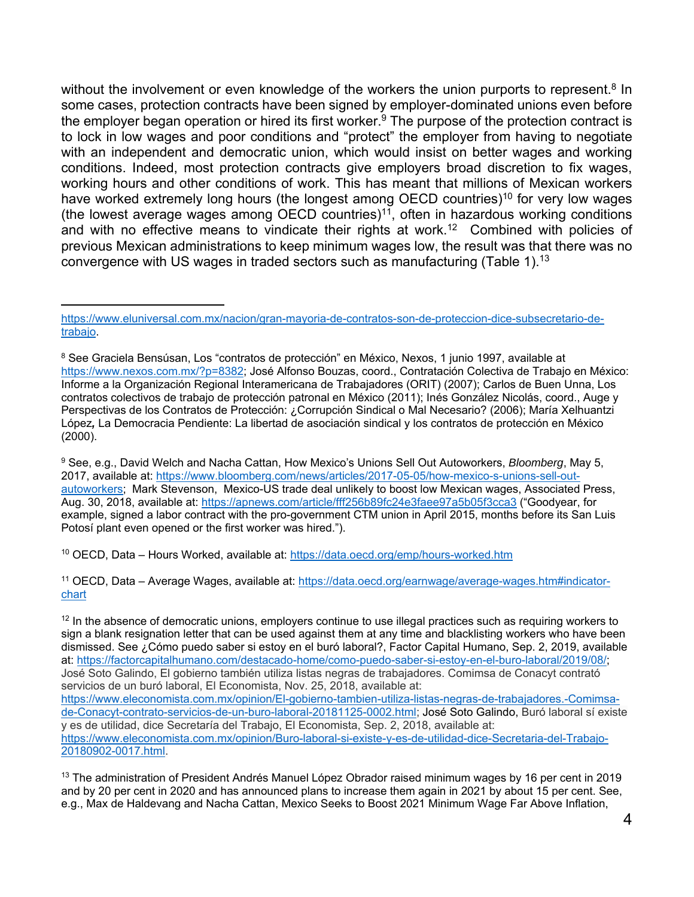without the involvement or even knowledge of the workers the union purports to represent.<sup>8</sup> In some cases, protection contracts have been signed by employer-dominated unions even before the employer began operation or hired its first worker.<sup>9</sup> The purpose of the protection contract is to lock in low wages and poor conditions and "protect" the employer from having to negotiate with an independent and democratic union, which would insist on better wages and working conditions. Indeed, most protection contracts give employers broad discretion to fix wages, working hours and other conditions of work. This has meant that millions of Mexican workers have worked extremely long hours (the longest among OECD countries)<sup>10</sup> for very low wages (the lowest average wages among  $OECD$  countries)<sup>11</sup>, often in hazardous working conditions and with no effective means to vindicate their rights at work.<sup>12</sup> Combined with policies of previous Mexican administrations to keep minimum wages low, the result was that there was no convergence with US wages in traded sectors such as manufacturing (Table 1).<sup>13</sup>

l

9 See, e.g., David Welch and Nacha Cattan, How Mexico's Unions Sell Out Autoworkers, *Bloomberg*, May 5, 2017, available at: https://www.bloomberg.com/news/articles/2017-05-05/how-mexico-s-unions-sell-outautoworkers; Mark Stevenson, Mexico-US trade deal unlikely to boost low Mexican wages, Associated Press, Aug. 30, 2018, available at: https://apnews.com/article/fff256b89fc24e3faee97a5b05f3cca3 ("Goodyear, for example, signed a labor contract with the pro-government CTM union in April 2015, months before its San Luis Potosí plant even opened or the first worker was hired.").

10 OECD, Data – Hours Worked, available at: https://data.oecd.org/emp/hours-worked.htm

11 OECD, Data – Average Wages, available at: https://data.oecd.org/earnwage/average-wages.htm#indicatorchart

 $12$  In the absence of democratic unions, employers continue to use illegal practices such as requiring workers to sign a blank resignation letter that can be used against them at any time and blacklisting workers who have been dismissed. See ¿Cómo puedo saber si estoy en el buró laboral?, Factor Capital Humano, Sep. 2, 2019, available at: https://factorcapitalhumano.com/destacado-home/como-puedo-saber-si-estoy-en-el-buro-laboral/2019/08/; José Soto Galindo, El gobierno también utiliza listas negras de trabajadores. Comimsa de Conacyt contrató servicios de un buró laboral, El Economista, Nov. 25, 2018, available at: https://www.eleconomista.com.mx/opinion/El-gobierno-tambien-utiliza-listas-negras-de-trabajadores.-Comimsade-Conacyt-contrato-servicios-de-un-buro-laboral-20181125-0002.html; José Soto Galindo, Buró laboral sí existe y es de utilidad, dice Secretaría del Trabajo, El Economista, Sep. 2, 2018, available at: https://www.eleconomista.com.mx/opinion/Buro-laboral-si-existe-y-es-de-utilidad-dice-Secretaria-del-Trabajo-20180902-0017.html.

<sup>13</sup> The administration of President Andrés Manuel López Obrador raised minimum wages by 16 per cent in 2019 and by 20 per cent in 2020 and has announced plans to increase them again in 2021 by about 15 per cent. See, e.g., Max de Haldevang and Nacha Cattan, Mexico Seeks to Boost 2021 Minimum Wage Far Above Inflation,

https://www.eluniversal.com.mx/nacion/gran-mayoria-de-contratos-son-de-proteccion-dice-subsecretario-detrabajo.

<sup>8</sup> See Graciela Bensúsan, Los "contratos de protección" en México, Nexos, 1 junio 1997, available at https://www.nexos.com.mx/?p=8382; José Alfonso Bouzas, coord., Contratación Colectiva de Trabajo en México: Informe a la Organización Regional Interamericana de Trabajadores (ORIT) (2007); Carlos de Buen Unna, Los contratos colectivos de trabajo de protección patronal en México (2011); Inés González Nicolás, coord., Auge y Perspectivas de los Contratos de Protección: ¿Corrupción Sindical o Mal Necesario? (2006); María Xelhuantzi López*,* La Democracia Pendiente: La libertad de asociación sindical y los contratos de protección en México (2000).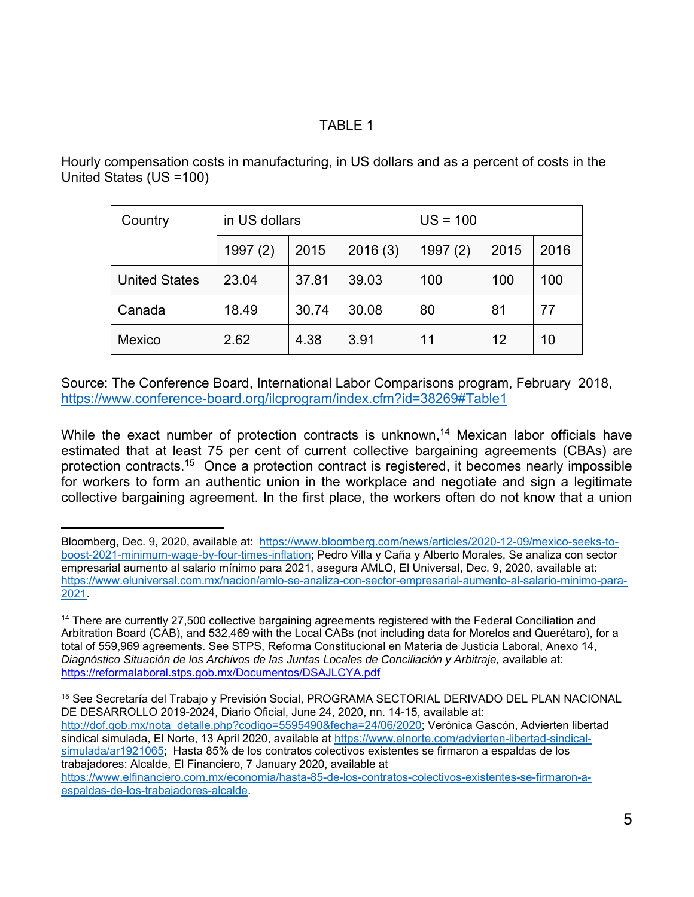## TABLE 1

Hourly compensation costs in manufacturing, in US dollars and as a percent of costs in the United States (US =100)

| Country              | in US dollars |                 |       | $US = 100$ |      |      |
|----------------------|---------------|-----------------|-------|------------|------|------|
|                      | 1997(2)       | 2016(3)<br>2015 |       | 1997(2)    | 2015 | 2016 |
| <b>United States</b> | 23.04         | 37.81           | 39.03 | 100        | 100  | 100  |
| Canada               | 18.49         | 30.74           | 30.08 | 80         | 81   | 77   |
| Mexico               | 2.62          | 4.38            | 3.91  | 11         | 12   | 10   |

Source: The Conference Board, International Labor Comparisons program, February 2018, https://www.conference-board.org/ilcprogram/index.cfm?id=38269#Table1

While the exact number of protection contracts is unknown,<sup>14</sup> Mexican labor officials have estimated that at least 75 per cent of current collective bargaining agreements (CBAs) are protection contracts.15 Once a protection contract is registered, it becomes nearly impossible for workers to form an authentic union in the workplace and negotiate and sign a legitimate collective bargaining agreement. In the first place, the workers often do not know that a union

l Bloomberg, Dec. 9, 2020, available at: https://www.bloomberg.com/news/articles/2020-12-09/mexico-seeks-toboost-2021-minimum-wage-by-four-times-inflation; Pedro Villa y Caña y Alberto Morales, Se analiza con sector empresarial aumento al salario mínimo para 2021, asegura AMLO, El Universal, Dec. 9, 2020, available at: https://www.eluniversal.com.mx/nacion/amlo-se-analiza-con-sector-empresarial-aumento-al-salario-minimo-para-2021.

<sup>&</sup>lt;sup>14</sup> There are currently 27,500 collective bargaining agreements registered with the Federal Conciliation and Arbitration Board (CAB), and 532,469 with the Local CABs (not including data for Morelos and Querétaro), for a total of 559,969 agreements. See STPS, Reforma Constitucional en Materia de Justicia Laboral, Anexo 14, Diagnóstico Situación de los Archivos de las Juntas Locales de Conciliación y Arbitraje, available at: https://reformalaboral.stps.gob.mx/Documentos/DSAJLCYA.pdf

<sup>15</sup> See Secretaría del Trabajo y Previsión Social, PROGRAMA SECTORIAL DERIVADO DEL PLAN NACIONAL DE DESARROLLO 2019-2024, Diario Oficial, June 24, 2020, nn. 14-15, available at: http://dof.gob.mx/nota\_detalle.php?codigo=5595490&fecha=24/06/2020; Verónica Gascón, Advierten libertad sindical simulada, El Norte, 13 April 2020, available at https://www.elnorte.com/advierten-libertad-sindicalsimulada/ar1921065; Hasta 85% de los contratos colectivos existentes se firmaron a espaldas de los trabajadores: Alcalde, El Financiero, 7 January 2020, available at https://www.elfinanciero.com.mx/economia/hasta-85-de-los-contratos-colectivos-existentes-se-firmaron-a-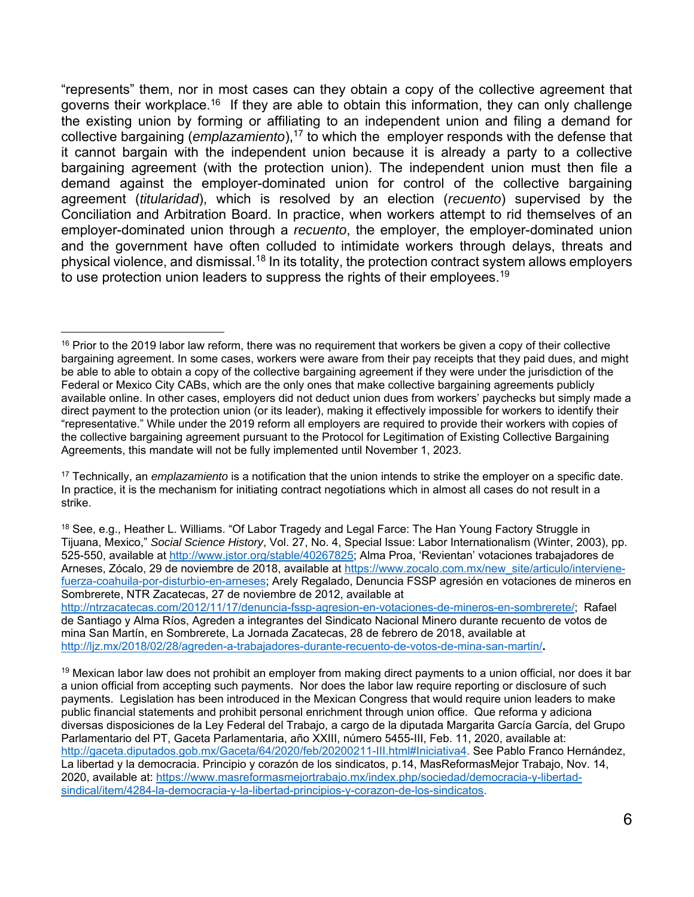"represents" them, nor in most cases can they obtain a copy of the collective agreement that governs their workplace.<sup>16</sup> If they are able to obtain this information, they can only challenge the existing union by forming or affiliating to an independent union and filing a demand for collective bargaining (*emplazamiento*),<sup>17</sup> to which the employer responds with the defense that it cannot bargain with the independent union because it is already a party to a collective bargaining agreement (with the protection union). The independent union must then file a demand against the employer-dominated union for control of the collective bargaining agreement (*titularidad*), which is resolved by an election (*recuento*) supervised by the Conciliation and Arbitration Board. In practice, when workers attempt to rid themselves of an employer-dominated union through a *recuento*, the employer, the employer-dominated union and the government have often colluded to intimidate workers through delays, threats and physical violence, and dismissal.<sup>18</sup> In its totality, the protection contract system allows employers to use protection union leaders to suppress the rights of their employees.<sup>19</sup>

l

http://ntrzacatecas.com/2012/11/17/denuncia-fssp-agresion-en-votaciones-de-mineros-en-sombrerete/; Rafael de Santiago y Alma Ríos, Agreden a integrantes del Sindicato Nacional Minero durante recuento de votos de mina San Martín, en Sombrerete, La Jornada Zacatecas, 28 de febrero de 2018, available at http://ljz.mx/2018/02/28/agreden-a-trabajadores-durante-recuento-de-votos-de-mina-san-martin/**.** 

 $19$  Mexican labor law does not prohibit an employer from making direct payments to a union official, nor does it bar a union official from accepting such payments. Nor does the labor law require reporting or disclosure of such payments. Legislation has been introduced in the Mexican Congress that would require union leaders to make public financial statements and prohibit personal enrichment through union office. Que reforma y adiciona diversas disposiciones de la Ley Federal del Trabajo, a cargo de la diputada Margarita García García, del Grupo Parlamentario del PT, Gaceta Parlamentaria, año XXIII, número 5455-III, Feb. 11, 2020, available at: http://gaceta.diputados.gob.mx/Gaceta/64/2020/feb/20200211-III.html#Iniciativa4. See Pablo Franco Hernández, La libertad y la democracia. Principio y corazón de los sindicatos, p.14, MasReformasMejor Trabajo, Nov. 14, 2020, available at: https://www.masreformasmejortrabajo.mx/index.php/sociedad/democracia-y-libertadsindical/item/4284-la-democracia-y-la-libertad-principios-y-corazon-de-los-sindicatos.

 $16$  Prior to the 2019 labor law reform, there was no requirement that workers be given a copy of their collective bargaining agreement. In some cases, workers were aware from their pay receipts that they paid dues, and might be able to able to obtain a copy of the collective bargaining agreement if they were under the jurisdiction of the Federal or Mexico City CABs, which are the only ones that make collective bargaining agreements publicly available online. In other cases, employers did not deduct union dues from workers' paychecks but simply made a direct payment to the protection union (or its leader), making it effectively impossible for workers to identify their "representative." While under the 2019 reform all employers are required to provide their workers with copies of the collective bargaining agreement pursuant to the Protocol for Legitimation of Existing Collective Bargaining Agreements, this mandate will not be fully implemented until November 1, 2023.

<sup>17</sup> Technically, an *emplazamiento* is a notification that the union intends to strike the employer on a specific date. In practice, it is the mechanism for initiating contract negotiations which in almost all cases do not result in a strike.

<sup>&</sup>lt;sup>18</sup> See, e.g., Heather L. Williams. "Of Labor Tragedy and Legal Farce: The Han Young Factory Struggle in Tijuana, Mexico," *Social Science History*, Vol. 27, No. 4, Special Issue: Labor Internationalism (Winter, 2003), pp. 525-550, available at http://www.jstor.org/stable/40267825; Alma Proa, 'Revientan' votaciones trabajadores de Arneses, Zócalo, 29 de noviembre de 2018, available at https://www.zocalo.com.mx/new\_site/articulo/intervienefuerza-coahuila-por-disturbio-en-arneses; Arely Regalado, Denuncia FSSP agresión en votaciones de mineros en Sombrerete, NTR Zacatecas, 27 de noviembre de 2012, available at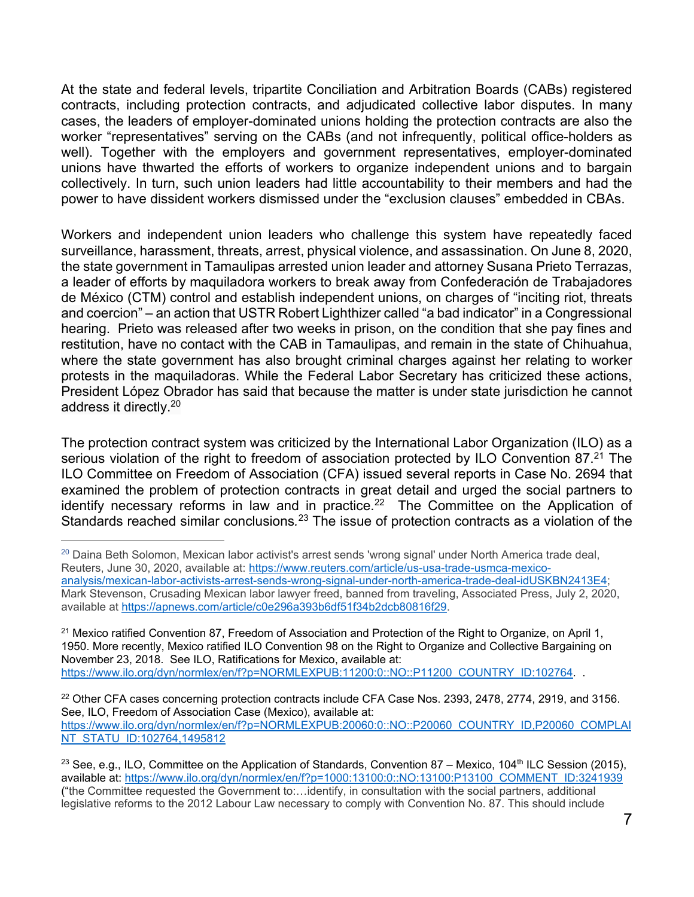At the state and federal levels, tripartite Conciliation and Arbitration Boards (CABs) registered contracts, including protection contracts, and adjudicated collective labor disputes. In many cases, the leaders of employer-dominated unions holding the protection contracts are also the worker "representatives" serving on the CABs (and not infrequently, political office-holders as well). Together with the employers and government representatives, employer-dominated unions have thwarted the efforts of workers to organize independent unions and to bargain collectively. In turn, such union leaders had little accountability to their members and had the power to have dissident workers dismissed under the "exclusion clauses" embedded in CBAs.

Workers and independent union leaders who challenge this system have repeatedly faced surveillance, harassment, threats, arrest, physical violence, and assassination. On June 8, 2020, the state government in Tamaulipas arrested union leader and attorney Susana Prieto Terrazas, a leader of efforts by maquiladora workers to break away from Confederación de Trabajadores de México (CTM) control and establish independent unions, on charges of "inciting riot, threats and coercion" – an action that USTR Robert Lighthizer called "a bad indicator" in a Congressional hearing. Prieto was released after two weeks in prison, on the condition that she pay fines and restitution, have no contact with the CAB in Tamaulipas, and remain in the state of Chihuahua, where the state government has also brought criminal charges against her relating to worker protests in the maquiladoras. While the Federal Labor Secretary has criticized these actions, President López Obrador has said that because the matter is under state jurisdiction he cannot address it directly.20

The protection contract system was criticized by the International Labor Organization (ILO) as a serious violation of the right to freedom of association protected by ILO Convention 87.<sup>21</sup> The ILO Committee on Freedom of Association (CFA) issued several reports in Case No. 2694 that examined the problem of protection contracts in great detail and urged the social partners to identify necessary reforms in law and in practice.<sup>22</sup> The Committee on the Application of Standards reached similar conclusions.<sup>23</sup> The issue of protection contracts as a violation of the

l <sup>20</sup> Daina Beth Solomon, Mexican labor activist's arrest sends 'wrong signal' under North America trade deal, Reuters, June 30, 2020, available at: https://www.reuters.com/article/us-usa-trade-usmca-mexicoanalysis/mexican-labor-activists-arrest-sends-wrong-signal-under-north-america-trade-deal-idUSKBN2413E4; Mark Stevenson, Crusading Mexican labor lawyer freed, banned from traveling, Associated Press, July 2, 2020, available at https://apnews.com/article/c0e296a393b6df51f34b2dcb80816f29.

<sup>21</sup> Mexico ratified Convention 87, Freedom of Association and Protection of the Right to Organize, on April 1, 1950. More recently, Mexico ratified ILO Convention 98 on the Right to Organize and Collective Bargaining on November 23, 2018. See ILO, Ratifications for Mexico, available at: https://www.ilo.org/dyn/normlex/en/f?p=NORMLEXPUB:11200:0::NO::P11200\_COUNTRY\_ID:102764. .

<sup>22</sup> Other CFA cases concerning protection contracts include CFA Case Nos. 2393, 2478, 2774, 2919, and 3156. See, ILO, Freedom of Association Case (Mexico), available at: https://www.ilo.org/dyn/normlex/en/f?p=NORMLEXPUB:20060:0::NO::P20060\_COUNTRY\_ID,P20060\_COMPLAI NT\_STATU\_ID:102764,1495812

<sup>&</sup>lt;sup>23</sup> See, e.g., ILO, Committee on the Application of Standards, Convention 87 – Mexico, 104<sup>th</sup> ILC Session (2015), available at: https://www.ilo.org/dyn/normlex/en/f?p=1000:13100:0::NO:13100:P13100\_COMMENT\_ID:3241939 ("the Committee requested the Government to:…identify, in consultation with the social partners, additional legislative reforms to the 2012 Labour Law necessary to comply with Convention No. 87. This should include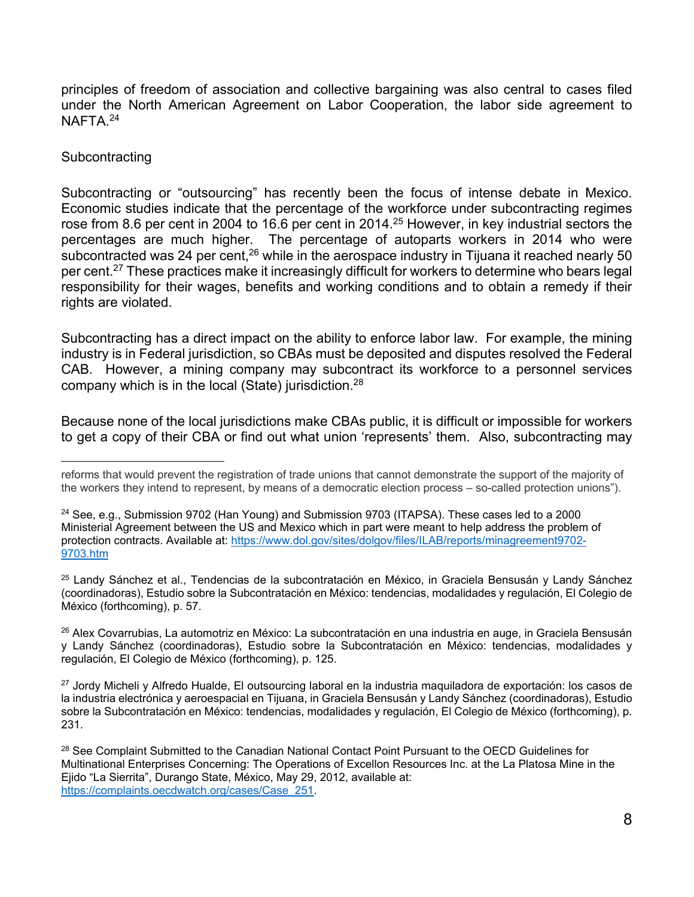principles of freedom of association and collective bargaining was also central to cases filed under the North American Agreement on Labor Cooperation, the labor side agreement to NAFTA<sup>24</sup>

#### **Subcontracting**

l

Subcontracting or "outsourcing" has recently been the focus of intense debate in Mexico. Economic studies indicate that the percentage of the workforce under subcontracting regimes rose from 8.6 per cent in 2004 to 16.6 per cent in 2014.25 However, in key industrial sectors the percentages are much higher. The percentage of autoparts workers in 2014 who were subcontracted was 24 per cent,<sup>26</sup> while in the aerospace industry in Tijuana it reached nearly 50 per cent.27 These practices make it increasingly difficult for workers to determine who bears legal responsibility for their wages, benefits and working conditions and to obtain a remedy if their rights are violated.

Subcontracting has a direct impact on the ability to enforce labor law. For example, the mining industry is in Federal jurisdiction, so CBAs must be deposited and disputes resolved the Federal CAB. However, a mining company may subcontract its workforce to a personnel services company which is in the local (State) jurisdiction.28

Because none of the local jurisdictions make CBAs public, it is difficult or impossible for workers to get a copy of their CBA or find out what union 'represents' them. Also, subcontracting may

<sup>25</sup> Landy Sánchez et al., Tendencias de la subcontratación en México, in Graciela Bensusán y Landy Sánchez (coordinadoras), Estudio sobre la Subcontratación en México: tendencias, modalidades y regulación, El Colegio de México (forthcoming), p. 57.

<sup>26</sup> Alex Covarrubias, La automotriz en México: La subcontratación en una industria en auge, in Graciela Bensusán y Landy Sánchez (coordinadoras), Estudio sobre la Subcontratación en México: tendencias, modalidades y regulación, El Colegio de México (forthcoming), p. 125.

<sup>27</sup> Jordy Micheli y Alfredo Hualde, El outsourcing laboral en la industria maquiladora de exportación: los casos de la industria electrónica y aeroespacial en Tijuana, in Graciela Bensusán y Landy Sánchez (coordinadoras), Estudio sobre la Subcontratación en México: tendencias, modalidades y regulación, El Colegio de México (forthcoming), p. 231.

<sup>28</sup> See Complaint Submitted to the Canadian National Contact Point Pursuant to the OECD Guidelines for Multinational Enterprises Concerning: The Operations of Excellon Resources Inc. at the La Platosa Mine in the Ejido "La Sierrita", Durango State, México, May 29, 2012, available at: https://complaints.oecdwatch.org/cases/Case\_251.

reforms that would prevent the registration of trade unions that cannot demonstrate the support of the majority of the workers they intend to represent, by means of a democratic election process – so-called protection unions").

 $24$  See, e.g., Submission 9702 (Han Young) and Submission 9703 (ITAPSA). These cases led to a 2000 Ministerial Agreement between the US and Mexico which in part were meant to help address the problem of protection contracts. Available at: https://www.dol.gov/sites/dolgov/files/ILAB/reports/minagreement9702- 9703.htm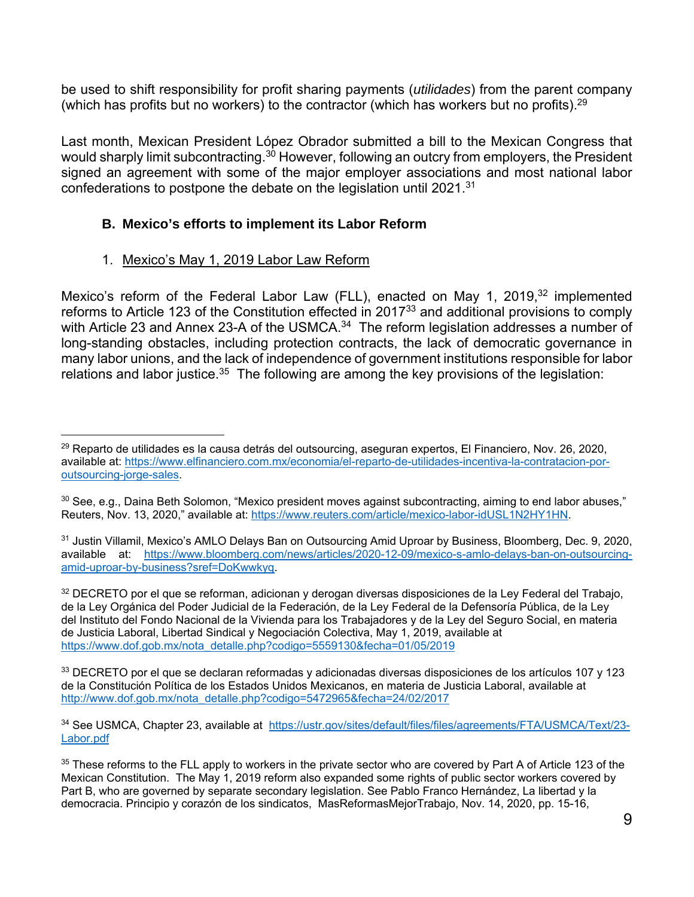be used to shift responsibility for profit sharing payments (*utilidades*) from the parent company (which has profits but no workers) to the contractor (which has workers but no profits).<sup>29</sup>

Last month, Mexican President López Obrador submitted a bill to the Mexican Congress that would sharply limit subcontracting.<sup>30</sup> However, following an outcry from employers, the President signed an agreement with some of the major employer associations and most national labor confederations to postpone the debate on the legislation until 2021.<sup>31</sup>

## **B. Mexico's efforts to implement its Labor Reform**

### 1. Mexico's May 1, 2019 Labor Law Reform

Mexico's reform of the Federal Labor Law (FLL), enacted on May 1, 2019,<sup>32</sup> implemented reforms to Article 123 of the Constitution effected in 201733 and additional provisions to comply with Article 23 and Annex 23-A of the USMCA.<sup>34</sup> The reform legislation addresses a number of long-standing obstacles, including protection contracts, the lack of democratic governance in many labor unions, and the lack of independence of government institutions responsible for labor relations and labor justice.<sup>35</sup> The following are among the key provisions of the legislation:

32 DECRETO por el que se reforman, adicionan y derogan diversas disposiciones de la Ley Federal del Trabajo, de la Ley Orgánica del Poder Judicial de la Federación, de la Ley Federal de la Defensoría Pública, de la Ley del Instituto del Fondo Nacional de la Vivienda para los Trabajadores y de la Ley del Seguro Social, en materia de Justicia Laboral, Libertad Sindical y Negociación Colectiva, May 1, 2019, available at https://www.dof.gob.mx/nota\_detalle.php?codigo=5559130&fecha=01/05/2019

33 DECRETO por el que se declaran reformadas y adicionadas diversas disposiciones de los artículos 107 y 123 de la Constitución Política de los Estados Unidos Mexicanos, en materia de Justicia Laboral, available at http://www.dof.gob.mx/nota\_detalle.php?codigo=5472965&fecha=24/02/2017

l 29 Reparto de utilidades es la causa detrás del outsourcing, aseguran expertos, El Financiero, Nov. 26, 2020, available at: https://www.elfinanciero.com.mx/economia/el-reparto-de-utilidades-incentiva-la-contratacion-poroutsourcing-jorge-sales.

<sup>&</sup>lt;sup>30</sup> See, e.g., Daina Beth Solomon, "Mexico president moves against subcontracting, aiming to end labor abuses," Reuters, Nov. 13, 2020," available at: https://www.reuters.com/article/mexico-labor-idUSL1N2HY1HN.

<sup>&</sup>lt;sup>31</sup> Justin Villamil, Mexico's AMLO Delays Ban on Outsourcing Amid Uproar by Business, Bloomberg, Dec. 9, 2020, available at: https://www.bloomberg.com/news/articles/2020-12-09/mexico-s-amlo-delays-ban-on-outsourcingamid-uproar-by-business?sref=DoKwwkyq.

<sup>34</sup> See USMCA, Chapter 23, available at https://ustr.gov/sites/default/files/files/agreements/FTA/USMCA/Text/23- Labor.pdf

<sup>&</sup>lt;sup>35</sup> These reforms to the FLL apply to workers in the private sector who are covered by Part A of Article 123 of the Mexican Constitution. The May 1, 2019 reform also expanded some rights of public sector workers covered by Part B, who are governed by separate secondary legislation. See Pablo Franco Hernández, La libertad y la democracia. Principio y corazón de los sindicatos, MasReformasMejorTrabajo, Nov. 14, 2020, pp. 15-16,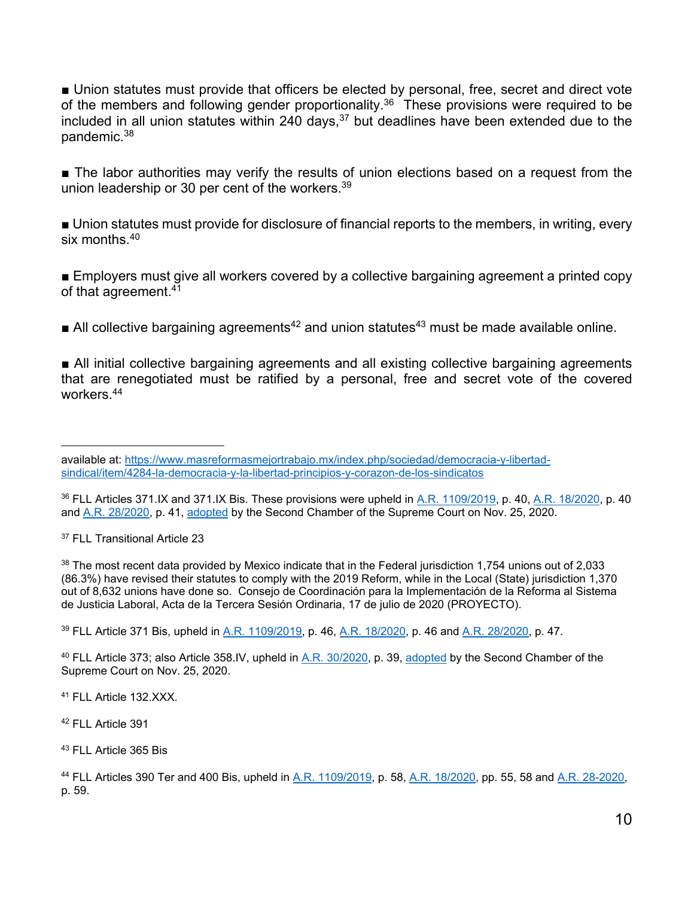■ Union statutes must provide that officers be elected by personal, free, secret and direct vote of the members and following gender proportionality.<sup>36</sup> These provisions were required to be included in all union statutes within 240 days,  $37$  but deadlines have been extended due to the pandemic.38

■ The labor authorities may verify the results of union elections based on a request from the union leadership or 30 per cent of the workers.<sup>39</sup>

■ Union statutes must provide for disclosure of financial reports to the members, in writing, every six months  $40$ 

■ Employers must give all workers covered by a collective bargaining agreement a printed copy of that agreement.41

All collective bargaining agreements<sup>42</sup> and union statutes<sup>43</sup> must be made available online.

■ All initial collective bargaining agreements and all existing collective bargaining agreements that are renegotiated must be ratified by a personal, free and secret vote of the covered workers.44

37 FLL Transitional Article 23

38 The most recent data provided by Mexico indicate that in the Federal jurisdiction 1,754 unions out of 2,033 (86.3%) have revised their statutes to comply with the 2019 Reform, while in the Local (State) jurisdiction 1,370 out of 8,632 unions have done so. Consejo de Coordinación para la Implementación de la Reforma al Sistema de Justicia Laboral, Acta de la Tercera Sesión Ordinaria, 17 de julio de 2020 (PROYECTO).

39 FLL Article 371 Bis, upheld in A.R. 1109/2019, p. 46, A.R. 18/2020, p. 46 and A.R. 28/2020, p. 47.

40 FLL Article 373; also Article 358.IV, upheld in A.R. 30/2020, p. 39, adopted by the Second Chamber of the Supreme Court on Nov. 25, 2020.

41 FLL Article 132.XXX.

42 FLL Article 391

43 FLL Article 365 Bis

44 FLL Articles 390 Ter and 400 Bis, upheld in A.R. 1109/2019, p. 58, A.R. 18/2020, pp. 55, 58 and A.R. 28-2020, p. 59.

l available at: https://www.masreformasmejortrabajo.mx/index.php/sociedad/democracia-y-libertadsindical/item/4284-la-democracia-y-la-libertad-principios-y-corazon-de-los-sindicatos

<sup>36</sup> FLL Articles 371.IX and 371.IX Bis. These provisions were upheld in A.R. 1109/2019, p. 40, A.R. 18/2020, p. 40 and A.R. 28/2020, p. 41, adopted by the Second Chamber of the Supreme Court on Nov. 25, 2020.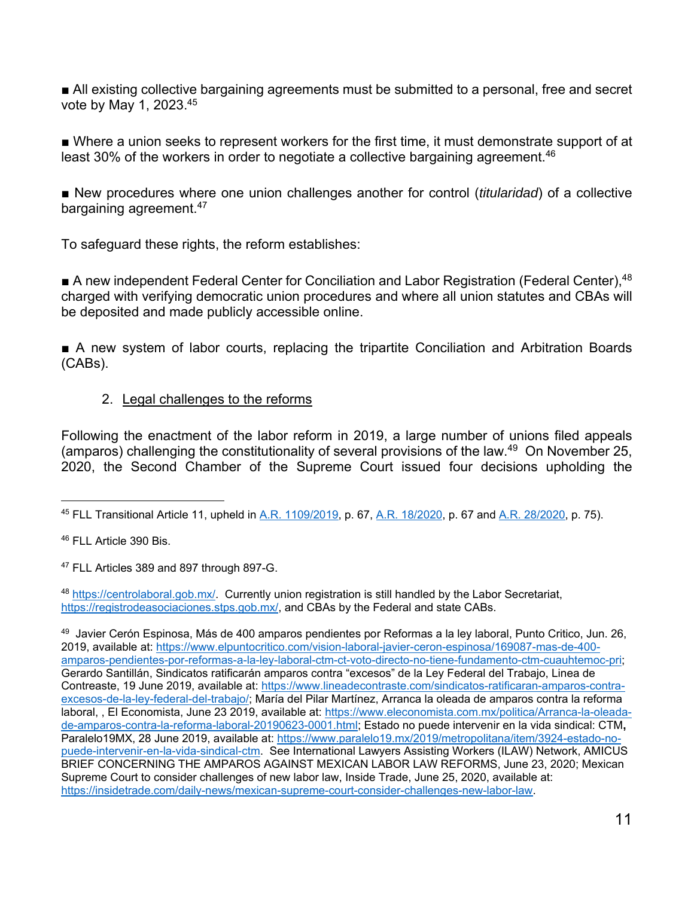■ All existing collective bargaining agreements must be submitted to a personal, free and secret vote by May 1, 2023.45

■ Where a union seeks to represent workers for the first time, it must demonstrate support of at least 30% of the workers in order to negotiate a collective bargaining agreement.<sup>46</sup>

■ New procedures where one union challenges another for control *(titularidad)* of a collective bargaining agreement.<sup>47</sup>

To safeguard these rights, the reform establishes:

■ A new independent Federal Center for Conciliation and Labor Registration (Federal Center), <sup>48</sup> charged with verifying democratic union procedures and where all union statutes and CBAs will be deposited and made publicly accessible online.

■ A new system of labor courts, replacing the tripartite Conciliation and Arbitration Boards (CABs).

### 2. Legal challenges to the reforms

Following the enactment of the labor reform in 2019, a large number of unions filed appeals (amparos) challenging the constitutionality of several provisions of the law.<sup>49</sup> On November 25, 2020, the Second Chamber of the Supreme Court issued four decisions upholding the

46 FLL Article 390 Bis.

47 FLL Articles 389 and 897 through 897-G.

<sup>48</sup> https://centrolaboral.gob.mx/. Currently union registration is still handled by the Labor Secretariat, https://registrodeasociaciones.stps.gob.mx/, and CBAs by the Federal and state CABs.

l 45 FLL Transitional Article 11, upheld in A.R. 1109/2019, p. 67, A.R. 18/2020, p. 67 and A.R. 28/2020, p. 75).

<sup>49</sup> Javier Cerón Espinosa, Más de 400 amparos pendientes por Reformas a la ley laboral, Punto Critico, Jun. 26, 2019, available at: https://www.elpuntocritico.com/vision-laboral-javier-ceron-espinosa/169087-mas-de-400 amparos-pendientes-por-reformas-a-la-ley-laboral-ctm-ct-voto-directo-no-tiene-fundamento-ctm-cuauhtemoc-pri; Gerardo Santillán, Sindicatos ratificarán amparos contra "excesos" de la Ley Federal del Trabajo, Linea de Contreaste, 19 June 2019, available at: https://www.lineadecontraste.com/sindicatos-ratificaran-amparos-contraexcesos-de-la-ley-federal-del-trabajo/; María del Pilar Martínez, Arranca la oleada de amparos contra la reforma laboral, , El Economista, June 23 2019, available at: https://www.eleconomista.com.mx/politica/Arranca-la-oleadade-amparos-contra-la-reforma-laboral-20190623-0001.html; Estado no puede intervenir en la vida sindical: CTM**,**  Paralelo19MX, 28 June 2019, available at: https://www.paralelo19.mx/2019/metropolitana/item/3924-estado-nopuede-intervenir-en-la-vida-sindical-ctm. See International Lawyers Assisting Workers (ILAW) Network, AMICUS BRIEF CONCERNING THE AMPAROS AGAINST MEXICAN LABOR LAW REFORMS, June 23, 2020; Mexican Supreme Court to consider challenges of new labor law, Inside Trade, June 25, 2020, available at: https://insidetrade.com/daily-news/mexican-supreme-court-consider-challenges-new-labor-law.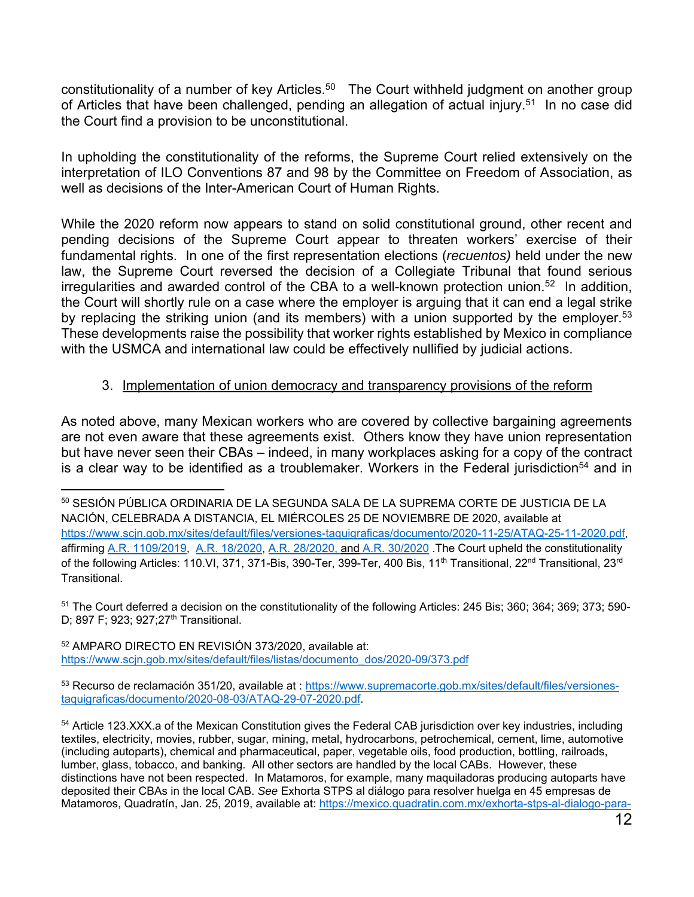constitutionality of a number of key Articles.<sup>50</sup> The Court withheld judgment on another group of Articles that have been challenged, pending an allegation of actual injury.<sup>51</sup> In no case did the Court find a provision to be unconstitutional.

In upholding the constitutionality of the reforms, the Supreme Court relied extensively on the interpretation of ILO Conventions 87 and 98 by the Committee on Freedom of Association, as well as decisions of the Inter-American Court of Human Rights.

While the 2020 reform now appears to stand on solid constitutional ground, other recent and pending decisions of the Supreme Court appear to threaten workers' exercise of their fundamental rights. In one of the first representation elections (*recuentos)* held under the new law, the Supreme Court reversed the decision of a Collegiate Tribunal that found serious irregularities and awarded control of the CBA to a well-known protection union.<sup>52</sup> In addition, the Court will shortly rule on a case where the employer is arguing that it can end a legal strike by replacing the striking union (and its members) with a union supported by the employer.<sup>53</sup> These developments raise the possibility that worker rights established by Mexico in compliance with the USMCA and international law could be effectively nullified by judicial actions.

## 3. Implementation of union democracy and transparency provisions of the reform

As noted above, many Mexican workers who are covered by collective bargaining agreements are not even aware that these agreements exist. Others know they have union representation but have never seen their CBAs – indeed, in many workplaces asking for a copy of the contract is a clear way to be identified as a troublemaker. Workers in the Federal jurisdiction<sup>54</sup> and in

51 The Court deferred a decision on the constitutionality of the following Articles: 245 Bis; 360; 364; 369; 373; 590- D; 897 F; 923; 927; 27<sup>th</sup> Transitional.

52 AMPARO DIRECTO EN REVISIÓN 373/2020, available at: https://www.scjn.gob.mx/sites/default/files/listas/documento\_dos/2020-09/373.pdf

53 Recurso de reclamación 351/20, available at : https://www.supremacorte.gob.mx/sites/default/files/versionestaquigraficas/documento/2020-08-03/ATAQ-29-07-2020.pdf.

54 Article 123.XXX.a of the Mexican Constitution gives the Federal CAB jurisdiction over key industries, including textiles, electricity, movies, rubber, sugar, mining, metal, hydrocarbons, petrochemical, cement, lime, automotive (including autoparts), chemical and pharmaceutical, paper, vegetable oils, food production, bottling, railroads, lumber, glass, tobacco, and banking. All other sectors are handled by the local CABs. However, these distinctions have not been respected. In Matamoros, for example, many maquiladoras producing autoparts have deposited their CBAs in the local CAB. *See* Exhorta STPS al diálogo para resolver huelga en 45 empresas de Matamoros, Quadratín, Jan. 25, 2019, available at: https://mexico.quadratin.com.mx/exhorta-stps-al-dialogo-para-

l 50 SESIÓN PÚBLICA ORDINARIA DE LA SEGUNDA SALA DE LA SUPREMA CORTE DE JUSTICIA DE LA NACIÓN, CELEBRADA A DISTANCIA, EL MIÉRCOLES 25 DE NOVIEMBRE DE 2020, available at https://www.scjn.gob.mx/sites/default/files/versiones-taquigraficas/documento/2020-11-25/ATAQ-25-11-2020.pdf, affirming A.R. 1109/2019, A.R. 18/2020, A.R. 28/2020, and A.R. 30/2020 .The Court upheld the constitutionality of the following Articles: 110.VI, 371, 371-Bis, 390-Ter, 399-Ter, 400 Bis, 11<sup>th</sup> Transitional, 22<sup>nd</sup> Transitional, 23<sup>rd</sup> **Transitional**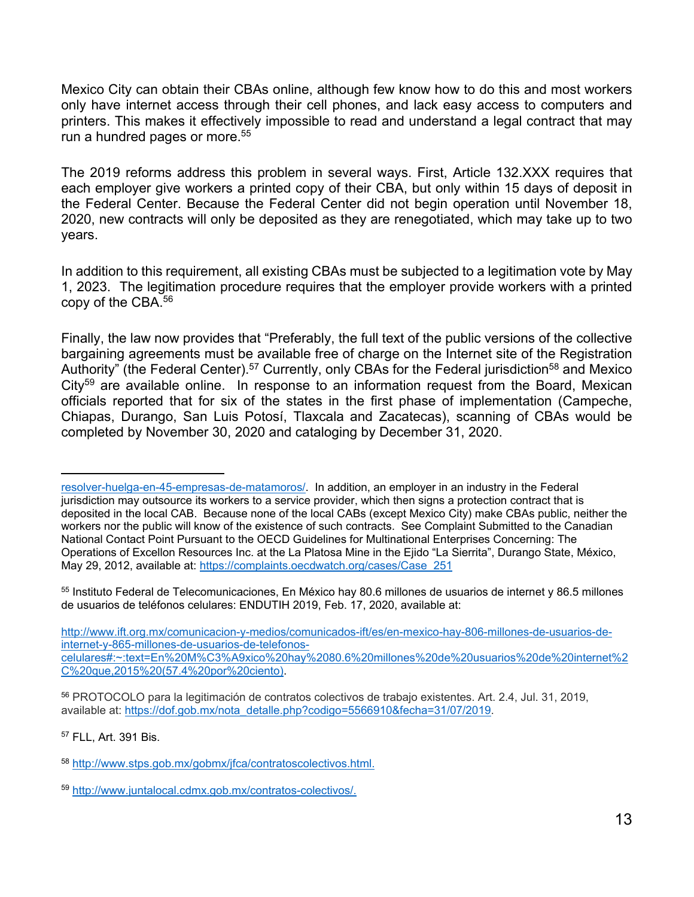Mexico City can obtain their CBAs online, although few know how to do this and most workers only have internet access through their cell phones, and lack easy access to computers and printers. This makes it effectively impossible to read and understand a legal contract that may run a hundred pages or more.<sup>55</sup>

The 2019 reforms address this problem in several ways. First, Article 132.XXX requires that each employer give workers a printed copy of their CBA, but only within 15 days of deposit in the Federal Center. Because the Federal Center did not begin operation until November 18, 2020, new contracts will only be deposited as they are renegotiated, which may take up to two years.

In addition to this requirement, all existing CBAs must be subjected to a legitimation vote by May 1, 2023. The legitimation procedure requires that the employer provide workers with a printed copy of the CBA.56

Finally, the law now provides that "Preferably, the full text of the public versions of the collective bargaining agreements must be available free of charge on the Internet site of the Registration Authority" (the Federal Center).<sup>57</sup> Currently, only CBAs for the Federal jurisdiction<sup>58</sup> and Mexico  $City<sup>59</sup>$  are available online. In response to an information request from the Board, Mexican officials reported that for six of the states in the first phase of implementation (Campeche, Chiapas, Durango, San Luis Potosí, Tlaxcala and Zacatecas), scanning of CBAs would be completed by November 30, 2020 and cataloging by December 31, 2020.

55 Instituto Federal de Telecomunicaciones, En México hay 80.6 millones de usuarios de internet y 86.5 millones de usuarios de teléfonos celulares: ENDUTIH 2019, Feb. 17, 2020, available at:

http://www.ift.org.mx/comunicacion-y-medios/comunicados-ift/es/en-mexico-hay-806-millones-de-usuarios-deinternet-y-865-millones-de-usuarios-de-telefonoscelulares#:~:text=En%20M%C3%A9xico%20hay%2080.6%20millones%20de%20usuarios%20de%20internet%2 C%20que,2015%20(57.4%20por%20ciento).

<sup>56</sup> PROTOCOLO para la legitimación de contratos colectivos de trabajo existentes. Art. 2.4, Jul. 31, 2019, available at: https://dof.gob.mx/nota\_detalle.php?codigo=5566910&fecha=31/07/2019.

57 FLL, Art. 391 Bis.

l

resolver-huelga-en-45-empresas-de-matamoros/. In addition, an employer in an industry in the Federal jurisdiction may outsource its workers to a service provider, which then signs a protection contract that is deposited in the local CAB. Because none of the local CABs (except Mexico City) make CBAs public, neither the workers nor the public will know of the existence of such contracts. See Complaint Submitted to the Canadian National Contact Point Pursuant to the OECD Guidelines for Multinational Enterprises Concerning: The Operations of Excellon Resources Inc. at the La Platosa Mine in the Ejido "La Sierrita", Durango State, México, May 29, 2012, available at: https://complaints.oecdwatch.org/cases/Case\_251

<sup>58</sup> http://www.stps.gob.mx/gobmx/jfca/contratoscolectivos.html.

<sup>59</sup> http://www.juntalocal.cdmx.gob.mx/contratos-colectivos/.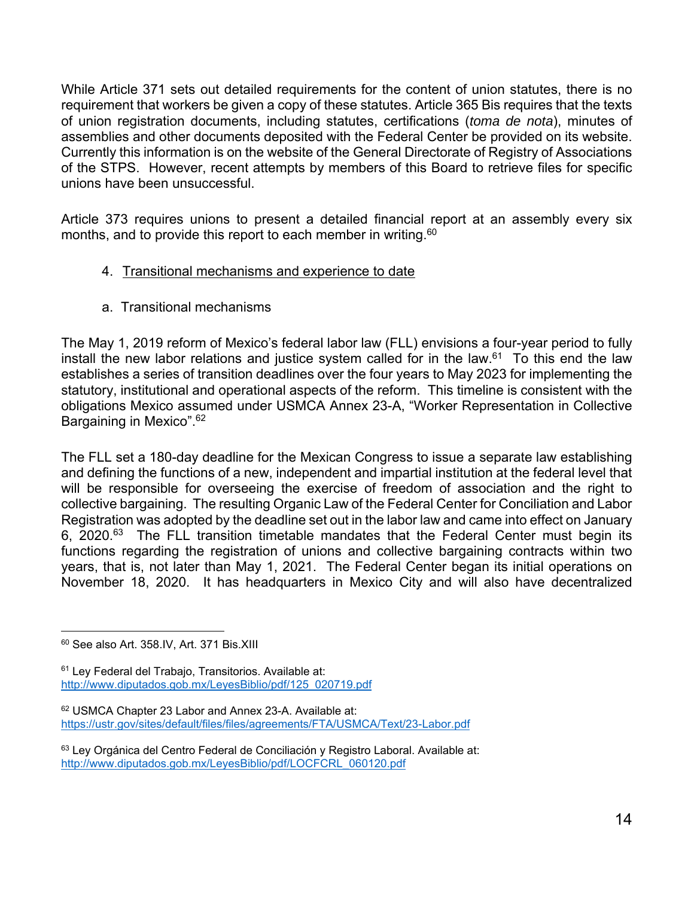While Article 371 sets out detailed requirements for the content of union statutes, there is no requirement that workers be given a copy of these statutes. Article 365 Bis requires that the texts of union registration documents, including statutes, certifications (*toma de nota*), minutes of assemblies and other documents deposited with the Federal Center be provided on its website. Currently this information is on the website of the General Directorate of Registry of Associations of the STPS. However, recent attempts by members of this Board to retrieve files for specific unions have been unsuccessful.

Article 373 requires unions to present a detailed financial report at an assembly every six months, and to provide this report to each member in writing.<sup>60</sup>

- 4. Transitional mechanisms and experience to date
- a. Transitional mechanisms

The May 1, 2019 reform of Mexico's federal labor law (FLL) envisions a four-year period to fully install the new labor relations and justice system called for in the law.<sup>61</sup> To this end the law establishes a series of transition deadlines over the four years to May 2023 for implementing the statutory, institutional and operational aspects of the reform. This timeline is consistent with the obligations Mexico assumed under USMCA Annex 23-A, "Worker Representation in Collective Bargaining in Mexico".62

The FLL set a 180-day deadline for the Mexican Congress to issue a separate law establishing and defining the functions of a new, independent and impartial institution at the federal level that will be responsible for overseeing the exercise of freedom of association and the right to collective bargaining. The resulting Organic Law of the Federal Center for Conciliation and Labor Registration was adopted by the deadline set out in the labor law and came into effect on January 6, 2020. $63$  The FLL transition timetable mandates that the Federal Center must begin its functions regarding the registration of unions and collective bargaining contracts within two years, that is, not later than May 1, 2021. The Federal Center began its initial operations on November 18, 2020. It has headquarters in Mexico City and will also have decentralized

l 60 See also Art. 358.IV, Art. 371 Bis.XIII

<sup>61</sup> Ley Federal del Trabajo, Transitorios. Available at: http://www.diputados.gob.mx/LeyesBiblio/pdf/125\_020719.pdf

<sup>62</sup> USMCA Chapter 23 Labor and Annex 23-A. Available at: https://ustr.gov/sites/default/files/files/agreements/FTA/USMCA/Text/23-Labor.pdf

<sup>&</sup>lt;sup>63</sup> Ley Orgánica del Centro Federal de Conciliación y Registro Laboral. Available at: http://www.diputados.gob.mx/LeyesBiblio/pdf/LOCFCRL\_060120.pdf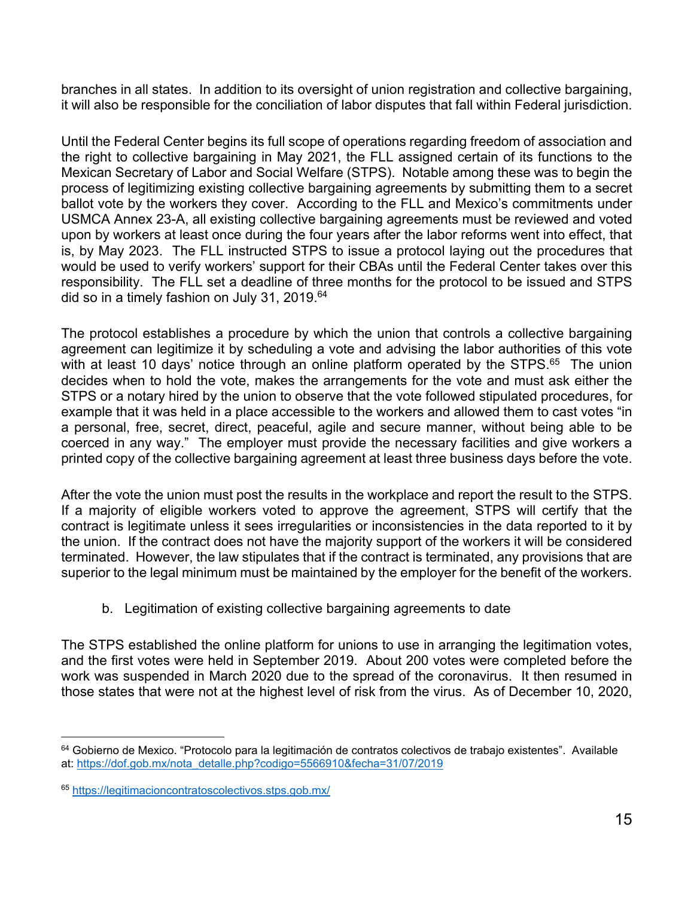branches in all states. In addition to its oversight of union registration and collective bargaining, it will also be responsible for the conciliation of labor disputes that fall within Federal jurisdiction.

Until the Federal Center begins its full scope of operations regarding freedom of association and the right to collective bargaining in May 2021, the FLL assigned certain of its functions to the Mexican Secretary of Labor and Social Welfare (STPS). Notable among these was to begin the process of legitimizing existing collective bargaining agreements by submitting them to a secret ballot vote by the workers they cover. According to the FLL and Mexico's commitments under USMCA Annex 23-A, all existing collective bargaining agreements must be reviewed and voted upon by workers at least once during the four years after the labor reforms went into effect, that is, by May 2023. The FLL instructed STPS to issue a protocol laying out the procedures that would be used to verify workers' support for their CBAs until the Federal Center takes over this responsibility. The FLL set a deadline of three months for the protocol to be issued and STPS did so in a timely fashion on July 31, 2019.<sup>64</sup>

The protocol establishes a procedure by which the union that controls a collective bargaining agreement can legitimize it by scheduling a vote and advising the labor authorities of this vote with at least 10 days' notice through an online platform operated by the STPS.<sup>65</sup> The union decides when to hold the vote, makes the arrangements for the vote and must ask either the STPS or a notary hired by the union to observe that the vote followed stipulated procedures, for example that it was held in a place accessible to the workers and allowed them to cast votes "in a personal, free, secret, direct, peaceful, agile and secure manner, without being able to be coerced in any way." The employer must provide the necessary facilities and give workers a printed copy of the collective bargaining agreement at least three business days before the vote.

After the vote the union must post the results in the workplace and report the result to the STPS. If a majority of eligible workers voted to approve the agreement, STPS will certify that the contract is legitimate unless it sees irregularities or inconsistencies in the data reported to it by the union. If the contract does not have the majority support of the workers it will be considered terminated. However, the law stipulates that if the contract is terminated, any provisions that are superior to the legal minimum must be maintained by the employer for the benefit of the workers.

b. Legitimation of existing collective bargaining agreements to date

The STPS established the online platform for unions to use in arranging the legitimation votes, and the first votes were held in September 2019. About 200 votes were completed before the work was suspended in March 2020 due to the spread of the coronavirus. It then resumed in those states that were not at the highest level of risk from the virus. As of December 10, 2020,

l 64 Gobierno de Mexico. "Protocolo para la legitimación de contratos colectivos de trabajo existentes". Available at: https://dof.gob.mx/nota\_detalle.php?codigo=5566910&fecha=31/07/2019

<sup>65</sup> https://legitimacioncontratoscolectivos.stps.gob.mx/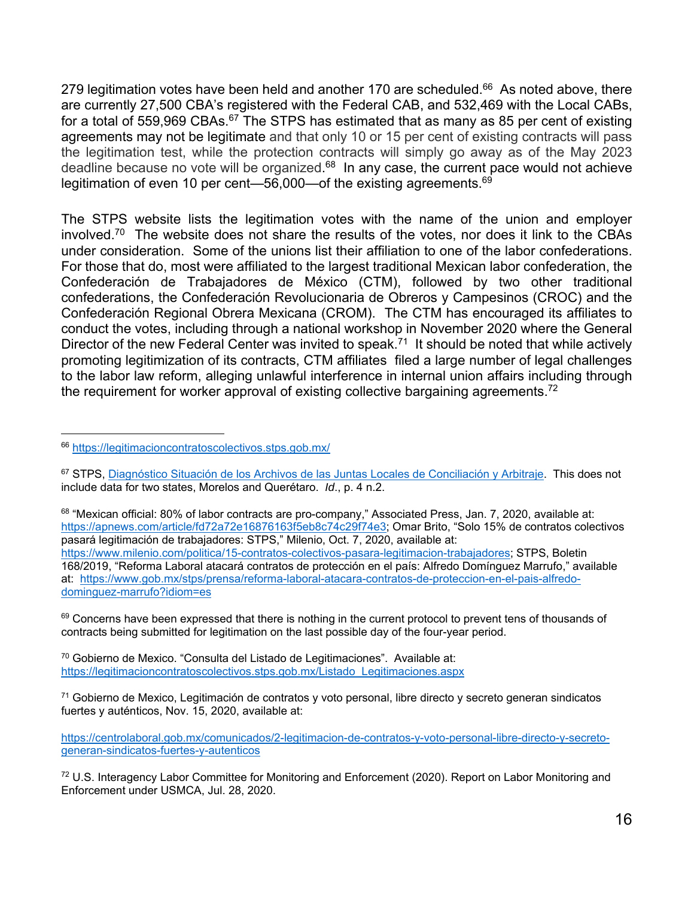279 legitimation votes have been held and another 170 are scheduled. $66$  As noted above, there are currently 27,500 CBA's registered with the Federal CAB, and 532,469 with the Local CABs, for a total of 559,969 CBAs.<sup>67</sup> The STPS has estimated that as many as 85 per cent of existing agreements may not be legitimate and that only 10 or 15 per cent of existing contracts will pass the legitimation test, while the protection contracts will simply go away as of the May 2023 deadline because no vote will be organized.<sup>68</sup> In any case, the current pace would not achieve legitimation of even 10 per cent—56,000—of the existing agreements.<sup>69</sup>

The STPS website lists the legitimation votes with the name of the union and employer involved.<sup>70</sup> The website does not share the results of the votes, nor does it link to the CBAs under consideration. Some of the unions list their affiliation to one of the labor confederations. For those that do, most were affiliated to the largest traditional Mexican labor confederation, the Confederación de Trabajadores de México (CTM), followed by two other traditional confederations, the Confederación Revolucionaria de Obreros y Campesinos (CROC) and the Confederación Regional Obrera Mexicana (CROM). The CTM has encouraged its affiliates to conduct the votes, including through a national workshop in November 2020 where the General Director of the new Federal Center was invited to speak.<sup>71</sup> It should be noted that while actively promoting legitimization of its contracts, CTM affiliates filed a large number of legal challenges to the labor law reform, alleging unlawful interference in internal union affairs including through the requirement for worker approval of existing collective bargaining agreements.<sup>72</sup>

l

68 "Mexican official: 80% of labor contracts are pro-company," Associated Press, Jan. 7, 2020, available at: https://apnews.com/article/fd72a72e16876163f5eb8c74c29f74e3; Omar Brito, "Solo 15% de contratos colectivos pasará legitimación de trabajadores: STPS," Milenio, Oct. 7, 2020, available at: https://www.milenio.com/politica/15-contratos-colectivos-pasara-legitimacion-trabajadores; STPS, Boletin 168/2019, "Reforma Laboral atacará contratos de protección en el país: Alfredo Domínguez Marrufo," available at: https://www.gob.mx/stps/prensa/reforma-laboral-atacara-contratos-de-proteccion-en-el-pais-alfredodominguez-marrufo?idiom=es

<sup>69</sup> Concerns have been expressed that there is nothing in the current protocol to prevent tens of thousands of contracts being submitted for legitimation on the last possible day of the four-year period.

 $70$  Gobierno de Mexico. "Consulta del Listado de Legitimaciones". Available at: https://legitimacioncontratoscolectivos.stps.gob.mx/Listado\_Legitimaciones.aspx

71 Gobierno de Mexico, Legitimación de contratos y voto personal, libre directo y secreto generan sindicatos fuertes y auténticos, Nov. 15, 2020, available at:

<sup>66</sup> https://legitimacioncontratoscolectivos.stps.gob.mx/

<sup>67</sup> STPS, Diagnóstico Situación de los Archivos de las Juntas Locales de Conciliación y Arbitraje. This does not include data for two states, Morelos and Querétaro. *Id*., p. 4 n.2.

https://centrolaboral.gob.mx/comunicados/2-legitimacion-de-contratos-y-voto-personal-libre-directo-y-secretogeneran-sindicatos-fuertes-y-autenticos

 $72$  U.S. Interagency Labor Committee for Monitoring and Enforcement (2020). Report on Labor Monitoring and Enforcement under USMCA, Jul. 28, 2020.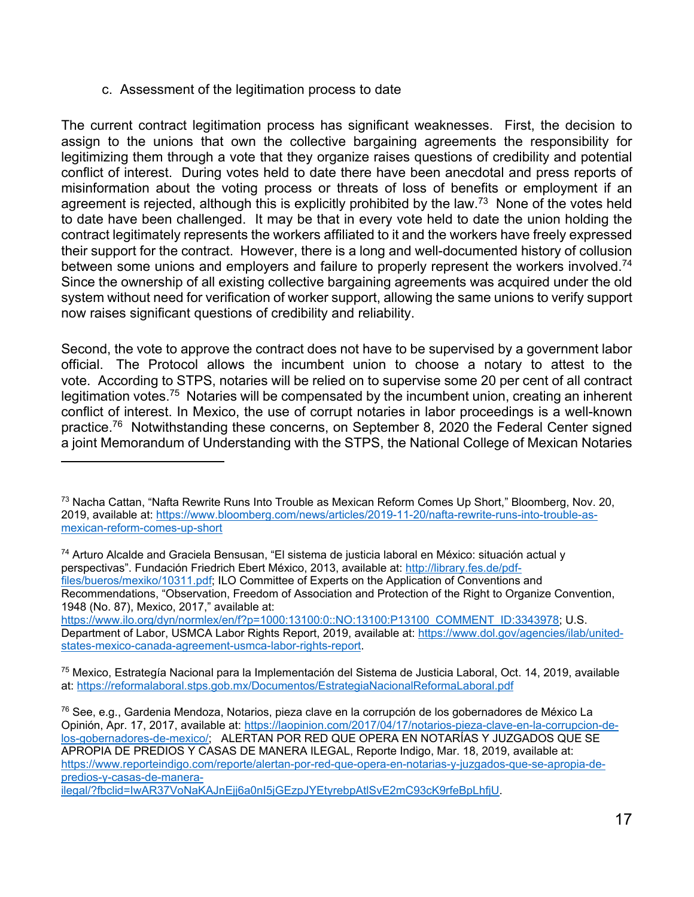#### c. Assessment of the legitimation process to date

l

The current contract legitimation process has significant weaknesses. First, the decision to assign to the unions that own the collective bargaining agreements the responsibility for legitimizing them through a vote that they organize raises questions of credibility and potential conflict of interest. During votes held to date there have been anecdotal and press reports of misinformation about the voting process or threats of loss of benefits or employment if an agreement is rejected, although this is explicitly prohibited by the law.<sup>73</sup> None of the votes held to date have been challenged. It may be that in every vote held to date the union holding the contract legitimately represents the workers affiliated to it and the workers have freely expressed their support for the contract. However, there is a long and well-documented history of collusion between some unions and employers and failure to properly represent the workers involved.<sup>74</sup> Since the ownership of all existing collective bargaining agreements was acquired under the old system without need for verification of worker support, allowing the same unions to verify support now raises significant questions of credibility and reliability.

Second, the vote to approve the contract does not have to be supervised by a government labor official. The Protocol allows the incumbent union to choose a notary to attest to the vote. According to STPS, notaries will be relied on to supervise some 20 per cent of all contract legitimation votes.<sup>75</sup> Notaries will be compensated by the incumbent union, creating an inherent conflict of interest. In Mexico, the use of corrupt notaries in labor proceedings is a well-known practice.76 Notwithstanding these concerns, on September 8, 2020 the Federal Center signed a joint Memorandum of Understanding with the STPS, the National College of Mexican Notaries

74 Arturo Alcalde and Graciela Bensusan, "El sistema de justicia laboral en México: situación actual y perspectivas". Fundación Friedrich Ebert México, 2013, available at: http://library.fes.de/pdffiles/bueros/mexiko/10311.pdf; ILO Committee of Experts on the Application of Conventions and Recommendations, "Observation, Freedom of Association and Protection of the Right to Organize Convention, 1948 (No. 87), Mexico, 2017," available at:

https://www.ilo.org/dyn/normlex/en/f?p=1000:13100:0::NO:13100:P13100\_COMMENT\_ID:3343978; U.S. Department of Labor, USMCA Labor Rights Report, 2019, available at: https://www.dol.gov/agencies/ilab/unitedstates-mexico-canada-agreement-usmca-labor-rights-report.

75 Mexico, Estrategía Nacional para la Implementación del Sistema de Justicia Laboral, Oct. 14, 2019, available at: https://reformalaboral.stps.gob.mx/Documentos/EstrategiaNacionalReformaLaboral.pdf

76 See, e.g., Gardenia Mendoza, Notarios, pieza clave en la corrupción de los gobernadores de México La Opinión, Apr. 17, 2017, available at: https://laopinion.com/2017/04/17/notarios-pieza-clave-en-la-corrupcion-delos-gobernadores-de-mexico/; ALERTAN POR RED QUE OPERA EN NOTARÍAS Y JUZGADOS QUE SE APROPIA DE PREDIOS Y CASAS DE MANERA ILEGAL, Reporte Indigo, Mar. 18, 2019, available at: https://www.reporteindigo.com/reporte/alertan-por-red-que-opera-en-notarias-y-juzgados-que-se-apropia-depredios-y-casas-de-manera-

ilegal/?fbclid=IwAR37VoNaKAJnEjj6a0nI5jGEzpJYEtyrebpAtlSvE2mC93cK9rfeBpLhfjU.

<sup>&</sup>lt;sup>73</sup> Nacha Cattan, "Nafta Rewrite Runs Into Trouble as Mexican Reform Comes Up Short," Bloomberg, Nov. 20, 2019, available at: https://www.bloomberg.com/news/articles/2019-11-20/nafta-rewrite-runs-into-trouble-asmexican-reform-comes-up-short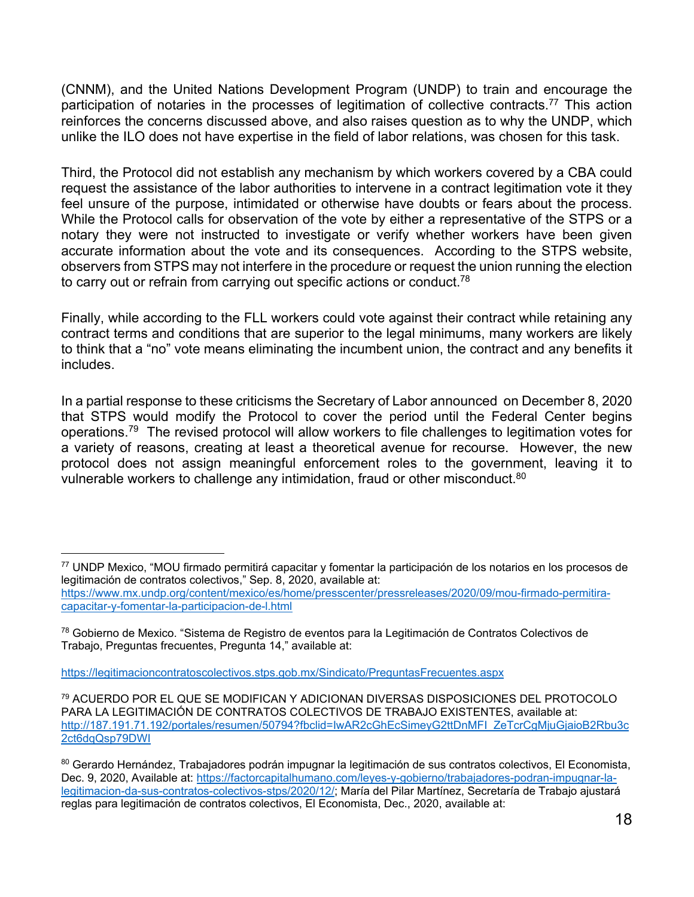(CNNM), and the United Nations Development Program (UNDP) to train and encourage the participation of notaries in the processes of legitimation of collective contracts.<sup>77</sup> This action reinforces the concerns discussed above, and also raises question as to why the UNDP, which unlike the ILO does not have expertise in the field of labor relations, was chosen for this task.

Third, the Protocol did not establish any mechanism by which workers covered by a CBA could request the assistance of the labor authorities to intervene in a contract legitimation vote it they feel unsure of the purpose, intimidated or otherwise have doubts or fears about the process. While the Protocol calls for observation of the vote by either a representative of the STPS or a notary they were not instructed to investigate or verify whether workers have been given accurate information about the vote and its consequences. According to the STPS website, observers from STPS may not interfere in the procedure or request the union running the election to carry out or refrain from carrying out specific actions or conduct.<sup>78</sup>

Finally, while according to the FLL workers could vote against their contract while retaining any contract terms and conditions that are superior to the legal minimums, many workers are likely to think that a "no" vote means eliminating the incumbent union, the contract and any benefits it includes.

In a partial response to these criticisms the Secretary of Labor announced on December 8, 2020 that STPS would modify the Protocol to cover the period until the Federal Center begins operations.79 The revised protocol will allow workers to file challenges to legitimation votes for a variety of reasons, creating at least a theoretical avenue for recourse. However, the new protocol does not assign meaningful enforcement roles to the government, leaving it to vulnerable workers to challenge any intimidation, fraud or other misconduct.<sup>80</sup>

https://legitimacioncontratoscolectivos.stps.gob.mx/Sindicato/PreguntasFrecuentes.aspx

l

<sup>77</sup> UNDP Mexico, "MOU firmado permitirá capacitar y fomentar la participación de los notarios en los procesos de legitimación de contratos colectivos," Sep. 8, 2020, available at: https://www.mx.undp.org/content/mexico/es/home/presscenter/pressreleases/2020/09/mou-firmado-permitiracapacitar-y-fomentar-la-participacion-de-l.html

<sup>78</sup> Gobierno de Mexico. "Sistema de Registro de eventos para la Legitimación de Contratos Colectivos de Trabajo, Preguntas frecuentes, Pregunta 14," available at:

<sup>79</sup> ACUERDO POR EL QUE SE MODIFICAN Y ADICIONAN DIVERSAS DISPOSICIONES DEL PROTOCOLO PARA LA LEGITIMACIÓN DE CONTRATOS COLECTIVOS DE TRABAJO EXISTENTES, available at: http://187.191.71.192/portales/resumen/50794?fbclid=IwAR2cGhEcSimeyG2ttDnMFI\_ZeTcrCgMjuGjaioB2Rbu3c 2ct6dqQsp79DWI

<sup>80</sup> Gerardo Hernández, Trabajadores podrán impugnar la legitimación de sus contratos colectivos, El Economista, Dec. 9, 2020, Available at: https://factorcapitalhumano.com/leyes-y-gobierno/trabajadores-podran-impugnar-lalegitimacion-da-sus-contratos-colectivos-stps/2020/12/; María del Pilar Martínez, Secretaría de Trabajo ajustará reglas para legitimación de contratos colectivos, El Economista, Dec., 2020, available at: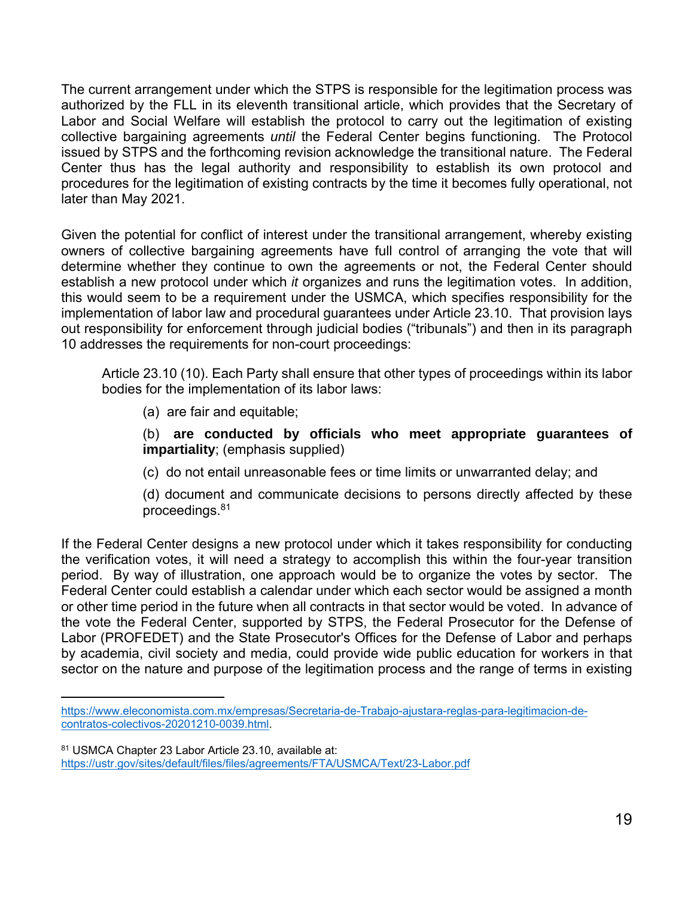The current arrangement under which the STPS is responsible for the legitimation process was authorized by the FLL in its eleventh transitional article, which provides that the Secretary of Labor and Social Welfare will establish the protocol to carry out the legitimation of existing collective bargaining agreements *until* the Federal Center begins functioning. The Protocol issued by STPS and the forthcoming revision acknowledge the transitional nature. The Federal Center thus has the legal authority and responsibility to establish its own protocol and procedures for the legitimation of existing contracts by the time it becomes fully operational, not later than May 2021.

Given the potential for conflict of interest under the transitional arrangement, whereby existing owners of collective bargaining agreements have full control of arranging the vote that will determine whether they continue to own the agreements or not, the Federal Center should establish a new protocol under which *it* organizes and runs the legitimation votes. In addition, this would seem to be a requirement under the USMCA, which specifies responsibility for the implementation of labor law and procedural guarantees under Article 23.10. That provision lays out responsibility for enforcement through judicial bodies ("tribunals") and then in its paragraph 10 addresses the requirements for non-court proceedings:

Article 23.10 (10). Each Party shall ensure that other types of proceedings within its labor bodies for the implementation of its labor laws:

(a) are fair and equitable;

l

(b) **are conducted by officials who meet appropriate guarantees of impartiality**; (emphasis supplied)

(c) do not entail unreasonable fees or time limits or unwarranted delay; and

(d) document and communicate decisions to persons directly affected by these proceedings.81

If the Federal Center designs a new protocol under which it takes responsibility for conducting the verification votes, it will need a strategy to accomplish this within the four-year transition period. By way of illustration, one approach would be to organize the votes by sector. The Federal Center could establish a calendar under which each sector would be assigned a month or other time period in the future when all contracts in that sector would be voted. In advance of the vote the Federal Center, supported by STPS, the Federal Prosecutor for the Defense of Labor (PROFEDET) and the State Prosecutor's Offices for the Defense of Labor and perhaps by academia, civil society and media, could provide wide public education for workers in that sector on the nature and purpose of the legitimation process and the range of terms in existing

https://www.eleconomista.com.mx/empresas/Secretaria-de-Trabajo-ajustara-reglas-para-legitimacion-decontratos-colectivos-20201210-0039.html.

<sup>81</sup> USMCA Chapter 23 Labor Article 23.10, available at: https://ustr.gov/sites/default/files/files/agreements/FTA/USMCA/Text/23-Labor.pdf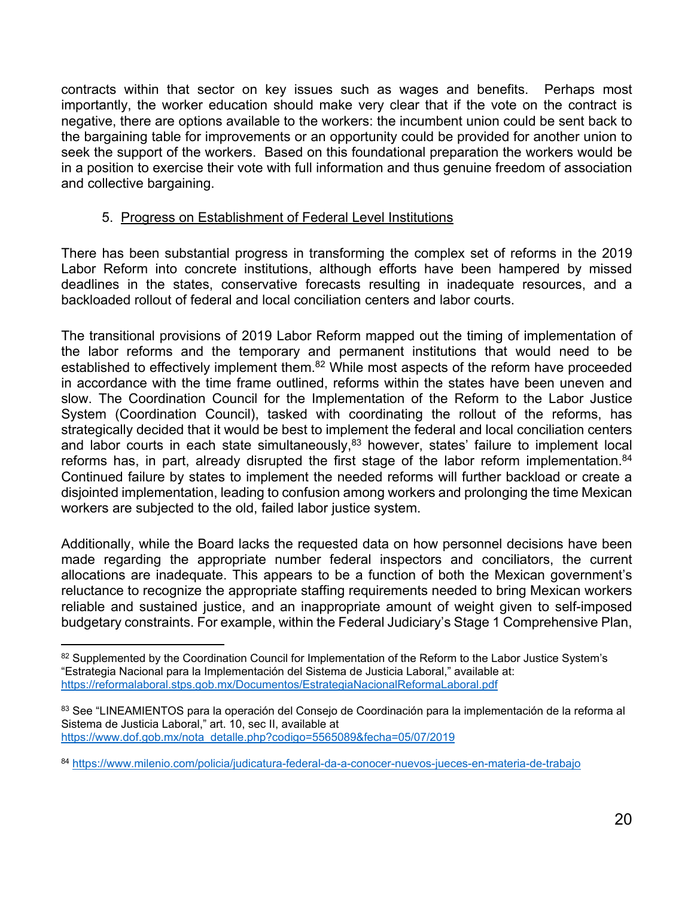contracts within that sector on key issues such as wages and benefits. Perhaps most importantly, the worker education should make very clear that if the vote on the contract is negative, there are options available to the workers: the incumbent union could be sent back to the bargaining table for improvements or an opportunity could be provided for another union to seek the support of the workers. Based on this foundational preparation the workers would be in a position to exercise their vote with full information and thus genuine freedom of association and collective bargaining.

## 5. Progress on Establishment of Federal Level Institutions

There has been substantial progress in transforming the complex set of reforms in the 2019 Labor Reform into concrete institutions, although efforts have been hampered by missed deadlines in the states, conservative forecasts resulting in inadequate resources, and a backloaded rollout of federal and local conciliation centers and labor courts.

The transitional provisions of 2019 Labor Reform mapped out the timing of implementation of the labor reforms and the temporary and permanent institutions that would need to be established to effectively implement them.<sup>82</sup> While most aspects of the reform have proceeded in accordance with the time frame outlined, reforms within the states have been uneven and slow. The Coordination Council for the Implementation of the Reform to the Labor Justice System (Coordination Council), tasked with coordinating the rollout of the reforms, has strategically decided that it would be best to implement the federal and local conciliation centers and labor courts in each state simultaneously,<sup>83</sup> however, states' failure to implement local reforms has, in part, already disrupted the first stage of the labor reform implementation.<sup>84</sup> Continued failure by states to implement the needed reforms will further backload or create a disjointed implementation, leading to confusion among workers and prolonging the time Mexican workers are subjected to the old, failed labor justice system.

Additionally, while the Board lacks the requested data on how personnel decisions have been made regarding the appropriate number federal inspectors and conciliators, the current allocations are inadequate. This appears to be a function of both the Mexican government's reluctance to recognize the appropriate staffing requirements needed to bring Mexican workers reliable and sustained justice, and an inappropriate amount of weight given to self-imposed budgetary constraints. For example, within the Federal Judiciary's Stage 1 Comprehensive Plan,

l <sup>82</sup> Supplemented by the Coordination Council for Implementation of the Reform to the Labor Justice System's "Estrategia Nacional para la Implementación del Sistema de Justicia Laboral," available at: https://reformalaboral.stps.gob.mx/Documentos/EstrategiaNacionalReformaLaboral.pdf

<sup>83</sup> See "LINEAMIENTOS para la operación del Consejo de Coordinación para la implementación de la reforma al Sistema de Justicia Laboral," art. 10, sec II, available at https://www.dof.gob.mx/nota\_detalle.php?codigo=5565089&fecha=05/07/2019

<sup>84</sup> https://www.milenio.com/policia/judicatura-federal-da-a-conocer-nuevos-jueces-en-materia-de-trabajo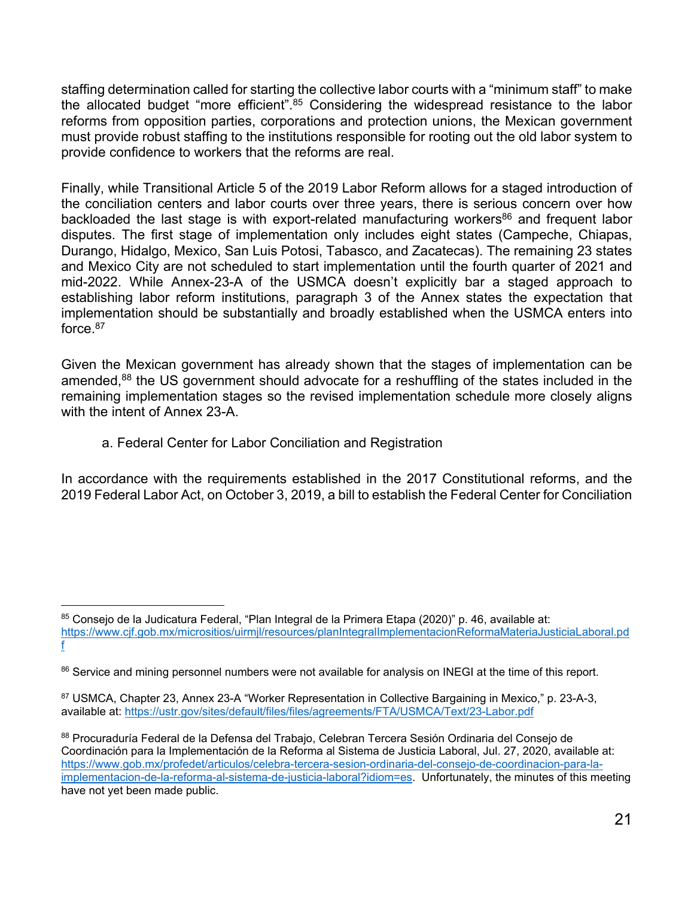staffing determination called for starting the collective labor courts with a "minimum staff" to make the allocated budget "more efficient".<sup>85</sup> Considering the widespread resistance to the labor reforms from opposition parties, corporations and protection unions, the Mexican government must provide robust staffing to the institutions responsible for rooting out the old labor system to provide confidence to workers that the reforms are real.

Finally, while Transitional Article 5 of the 2019 Labor Reform allows for a staged introduction of the conciliation centers and labor courts over three years, there is serious concern over how backloaded the last stage is with export-related manufacturing workers<sup>86</sup> and frequent labor disputes. The first stage of implementation only includes eight states (Campeche, Chiapas, Durango, Hidalgo, Mexico, San Luis Potosi, Tabasco, and Zacatecas). The remaining 23 states and Mexico City are not scheduled to start implementation until the fourth quarter of 2021 and mid-2022. While Annex-23-A of the USMCA doesn't explicitly bar a staged approach to establishing labor reform institutions, paragraph 3 of the Annex states the expectation that implementation should be substantially and broadly established when the USMCA enters into force.87

Given the Mexican government has already shown that the stages of implementation can be amended,<sup>88</sup> the US government should advocate for a reshuffling of the states included in the remaining implementation stages so the revised implementation schedule more closely aligns with the intent of Annex 23-A.

a. Federal Center for Labor Conciliation and Registration

l

In accordance with the requirements established in the 2017 Constitutional reforms, and the 2019 Federal Labor Act, on October 3, 2019, a bill to establish the Federal Center for Conciliation

<sup>85</sup> Consejo de la Judicatura Federal, "Plan Integral de la Primera Etapa (2020)" p. 46, available at: https://www.cjf.gob.mx/micrositios/uirmjl/resources/planIntegralImplementacionReformaMateriaJusticiaLaboral.pd f

<sup>86</sup> Service and mining personnel numbers were not available for analysis on INEGI at the time of this report.

<sup>87</sup> USMCA, Chapter 23, Annex 23-A "Worker Representation in Collective Bargaining in Mexico," p. 23-A-3, available at: https://ustr.gov/sites/default/files/files/agreements/FTA/USMCA/Text/23-Labor.pdf

<sup>88</sup> Procuraduría Federal de la Defensa del Trabajo, Celebran Tercera Sesión Ordinaria del Conseio de Coordinación para la Implementación de la Reforma al Sistema de Justicia Laboral, Jul. 27, 2020, available at: https://www.gob.mx/profedet/articulos/celebra-tercera-sesion-ordinaria-del-consejo-de-coordinacion-para-laimplementacion-de-la-reforma-al-sistema-de-justicia-laboral?idiom=es. Unfortunately, the minutes of this meeting have not yet been made public.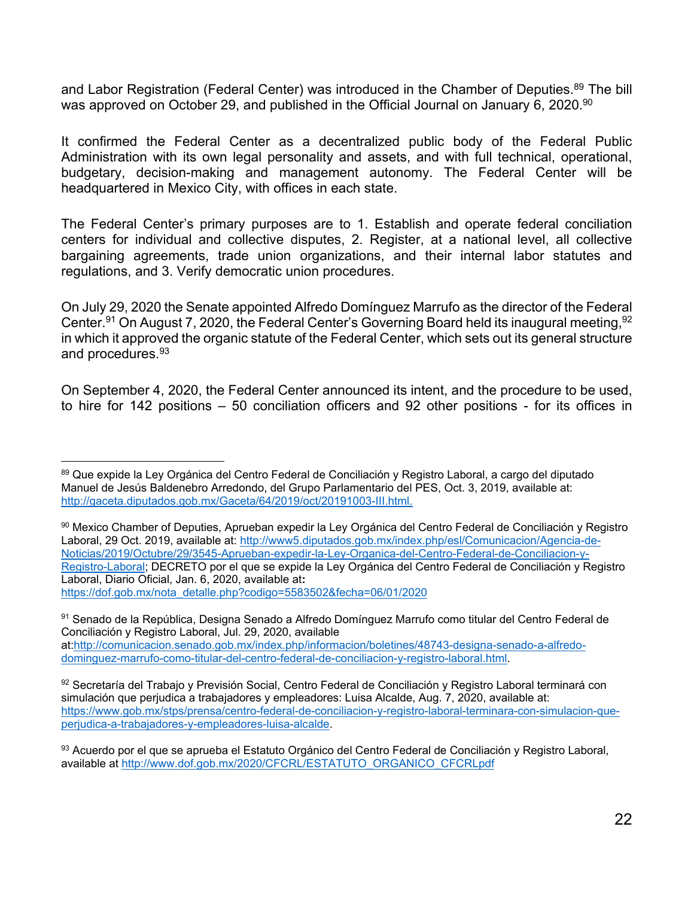and Labor Registration (Federal Center) was introduced in the Chamber of Deputies.<sup>89</sup> The bill was approved on October 29, and published in the Official Journal on January 6, 2020.<sup>90</sup>

It confirmed the Federal Center as a decentralized public body of the Federal Public Administration with its own legal personality and assets, and with full technical, operational, budgetary, decision-making and management autonomy. The Federal Center will be headquartered in Mexico City, with offices in each state.

The Federal Center's primary purposes are to 1. Establish and operate federal conciliation centers for individual and collective disputes, 2. Register, at a national level, all collective bargaining agreements, trade union organizations, and their internal labor statutes and regulations, and 3. Verify democratic union procedures.

On July 29, 2020 the Senate appointed Alfredo Domínguez Marrufo as the director of the Federal Center.<sup>91</sup> On August 7, 2020, the Federal Center's Governing Board held its inaugural meeting, <sup>92</sup> in which it approved the organic statute of the Federal Center, which sets out its general structure and procedures.93

On September 4, 2020, the Federal Center announced its intent, and the procedure to be used, to hire for 142 positions – 50 conciliation officers and 92 other positions - for its offices in

l

<sup>&</sup>lt;sup>89</sup> Que expide la Ley Orgánica del Centro Federal de Conciliación y Registro Laboral, a cargo del diputado Manuel de Jesús Baldenebro Arredondo, del Grupo Parlamentario del PES, Oct. 3, 2019, available at: http://gaceta.diputados.gob.mx/Gaceta/64/2019/oct/20191003-III.html.

<sup>90</sup> Mexico Chamber of Deputies, Aprueban expedir la Ley Orgánica del Centro Federal de Conciliación y Registro Laboral, 29 Oct. 2019, available at: http://www5.diputados.gob.mx/index.php/esl/Comunicacion/Agencia-de-Noticias/2019/Octubre/29/3545-Aprueban-expedir-la-Ley-Organica-del-Centro-Federal-de-Conciliacion-y-Registro-Laboral; DECRETO por el que se expide la Ley Orgánica del Centro Federal de Conciliación y Registro Laboral, Diario Oficial, Jan. 6, 2020, available at**:**  https://dof.gob.mx/nota\_detalle.php?codigo=5583502&fecha=06/01/2020

<sup>91</sup> Senado de la República, Designa Senado a Alfredo Domínguez Marrufo como titular del Centro Federal de Conciliación y Registro Laboral, Jul. 29, 2020, available at:http://comunicacion.senado.gob.mx/index.php/informacion/boletines/48743-designa-senado-a-alfredodominguez-marrufo-como-titular-del-centro-federal-de-conciliacion-y-registro-laboral.html.

<sup>92</sup> Secretaría del Trabajo y Previsión Social, Centro Federal de Conciliación y Registro Laboral terminará con simulación que perjudica a trabajadores y empleadores: Luisa Alcalde, Aug. 7, 2020, available at: https://www.gob.mx/stps/prensa/centro-federal-de-conciliacion-y-registro-laboral-terminara-con-simulacion-queperjudica-a-trabajadores-y-empleadores-luisa-alcalde.

<sup>93</sup> Acuerdo por el que se aprueba el Estatuto Orgánico del Centro Federal de Conciliación y Registro Laboral, available at http://www.dof.gob.mx/2020/CFCRL/ESTATUTO\_ORGANICO\_CFCRLpdf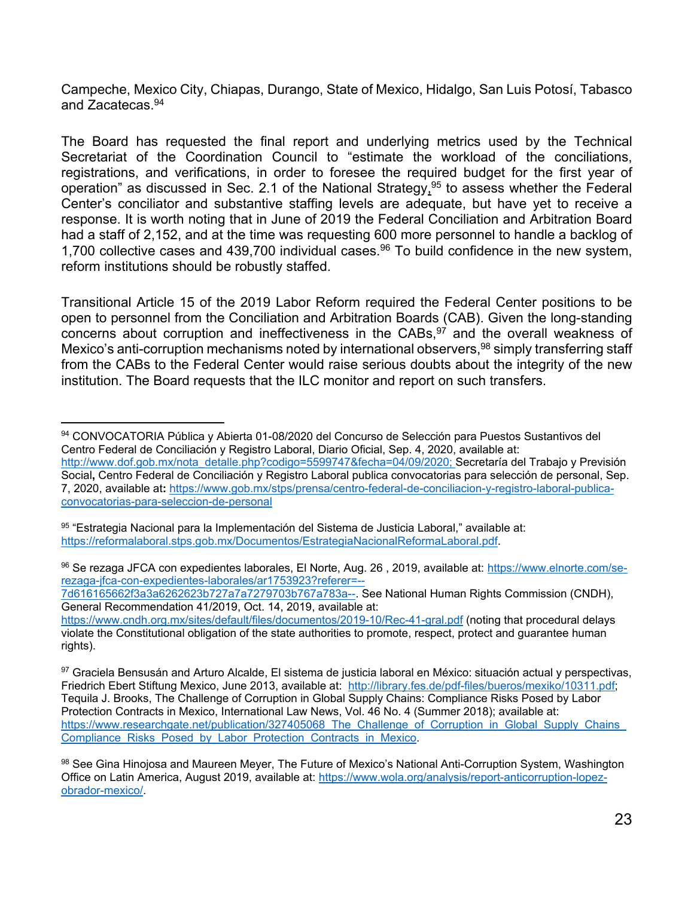Campeche, Mexico City, Chiapas, Durango, State of Mexico, Hidalgo, San Luis Potosí, Tabasco and Zacatecas<sup>94</sup>

The Board has requested the final report and underlying metrics used by the Technical Secretariat of the Coordination Council to "estimate the workload of the conciliations, registrations, and verifications, in order to foresee the required budget for the first year of operation" as discussed in Sec. 2.1 of the National Strategy,  $95$  to assess whether the Federal Center's conciliator and substantive staffing levels are adequate, but have yet to receive a response. It is worth noting that in June of 2019 the Federal Conciliation and Arbitration Board had a staff of 2,152, and at the time was requesting 600 more personnel to handle a backlog of 1,700 collective cases and 439,700 individual cases.<sup>96</sup> To build confidence in the new system, reform institutions should be robustly staffed.

Transitional Article 15 of the 2019 Labor Reform required the Federal Center positions to be open to personnel from the Conciliation and Arbitration Boards (CAB). Given the long-standing concerns about corruption and ineffectiveness in the CABs,  $97$  and the overall weakness of Mexico's anti-corruption mechanisms noted by international observers, <sup>98</sup> simply transferring staff from the CABs to the Federal Center would raise serious doubts about the integrity of the new institution. The Board requests that the ILC monitor and report on such transfers.

7d616165662f3a3a6262623b727a7a7279703b767a783a--. See National Human Rights Commission (CNDH), General Recommendation 41/2019, Oct. 14, 2019, available at:

l 94 CONVOCATORIA Pública y Abierta 01-08/2020 del Concurso de Selección para Puestos Sustantivos del Centro Federal de Conciliación y Registro Laboral, Diario Oficial, Sep. 4, 2020, available at: http://www.dof.gob.mx/nota\_detalle.php?codigo=5599747&fecha=04/09/2020; Secretaría del Trabajo y Previsión Social**,** Centro Federal de Conciliación y Registro Laboral publica convocatorias para selección de personal, Sep. 7, 2020, available at**:** https://www.gob.mx/stps/prensa/centro-federal-de-conciliacion-y-registro-laboral-publicaconvocatorias-para-seleccion-de-personal

<sup>95 &</sup>quot;Estrategia Nacional para la Implementación del Sistema de Justicia Laboral," available at: https://reformalaboral.stps.gob.mx/Documentos/EstrategiaNacionalReformaLaboral.pdf.

<sup>96</sup> Se rezaga JFCA con expedientes laborales, El Norte, Aug. 26 , 2019, available at: https://www.elnorte.com/serezaga-jfca-con-expedientes-laborales/ar1753923?referer=--

https://www.cndh.org.mx/sites/default/files/documentos/2019-10/Rec-41-gral.pdf (noting that procedural delays violate the Constitutional obligation of the state authorities to promote, respect, protect and guarantee human rights).

<sup>97</sup> Graciela Bensusán and Arturo Alcalde, El sistema de justicia laboral en México: situación actual y perspectivas, Friedrich Ebert Stiftung Mexico, June 2013, available at: http://library.fes.de/pdf-files/bueros/mexiko/10311.pdf; Tequila J. Brooks, The Challenge of Corruption in Global Supply Chains: Compliance Risks Posed by Labor Protection Contracts in Mexico, International Law News, Vol. 46 No. 4 (Summer 2018); available at: https://www.researchgate.net/publication/327405068 The Challenge of Corruption in Global Supply Chains Compliance Risks Posed by Labor Protection Contracts in Mexico.

<sup>98</sup> See Gina Hinojosa and Maureen Meyer, The Future of Mexico's National Anti-Corruption System, Washington Office on Latin America, August 2019, available at: https://www.wola.org/analysis/report-anticorruption-lopezobrador-mexico/.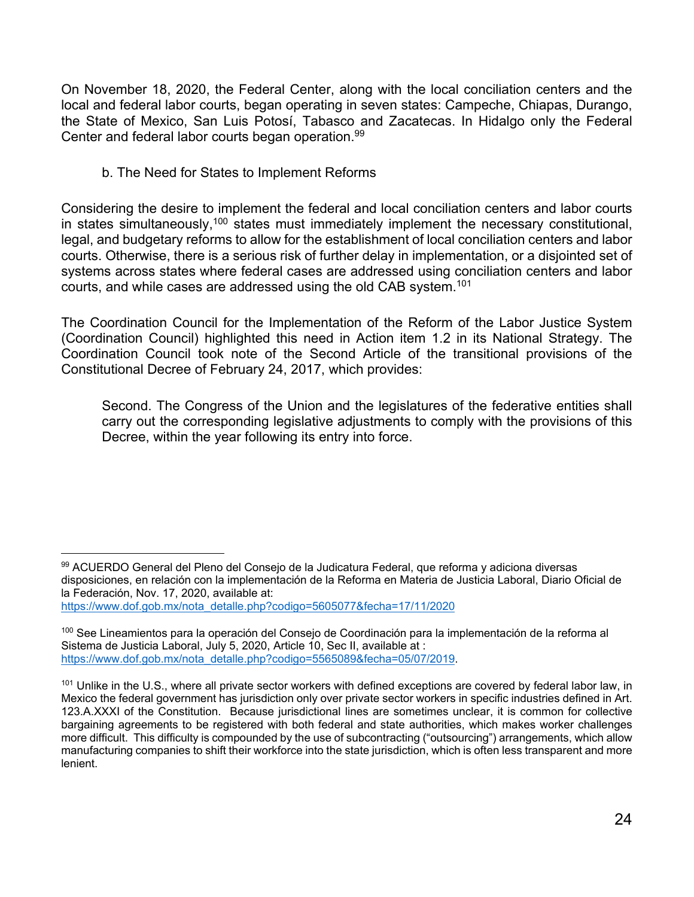On November 18, 2020, the Federal Center, along with the local conciliation centers and the local and federal labor courts, began operating in seven states: Campeche, Chiapas, Durango, the State of Mexico, San Luis Potosí, Tabasco and Zacatecas. In Hidalgo only the Federal Center and federal labor courts began operation.99

b. The Need for States to Implement Reforms

Considering the desire to implement the federal and local conciliation centers and labor courts in states simultaneously,<sup>100</sup> states must immediately implement the necessary constitutional, legal, and budgetary reforms to allow for the establishment of local conciliation centers and labor courts. Otherwise, there is a serious risk of further delay in implementation, or a disjointed set of systems across states where federal cases are addressed using conciliation centers and labor courts, and while cases are addressed using the old CAB system.101

The Coordination Council for the Implementation of the Reform of the Labor Justice System (Coordination Council) highlighted this need in Action item 1.2 in its National Strategy. The Coordination Council took note of the Second Article of the transitional provisions of the Constitutional Decree of February 24, 2017, which provides:

Second. The Congress of the Union and the legislatures of the federative entities shall carry out the corresponding legislative adjustments to comply with the provisions of this Decree, within the year following its entry into force.

l

<sup>99</sup> ACUERDO General del Pleno del Consejo de la Judicatura Federal, que reforma y adiciona diversas disposiciones, en relación con la implementación de la Reforma en Materia de Justicia Laboral, Diario Oficial de la Federación, Nov. 17, 2020, available at: https://www.dof.gob.mx/nota\_detalle.php?codigo=5605077&fecha=17/11/2020

<sup>100</sup> See Lineamientos para la operación del Consejo de Coordinación para la implementación de la reforma al Sistema de Justicia Laboral, July 5, 2020, Article 10, Sec II, available at : https://www.dof.gob.mx/nota\_detalle.php?codigo=5565089&fecha=05/07/2019.

<sup>&</sup>lt;sup>101</sup> Unlike in the U.S., where all private sector workers with defined exceptions are covered by federal labor law, in Mexico the federal government has jurisdiction only over private sector workers in specific industries defined in Art. 123.A.XXXI of the Constitution. Because jurisdictional lines are sometimes unclear, it is common for collective bargaining agreements to be registered with both federal and state authorities, which makes worker challenges more difficult. This difficulty is compounded by the use of subcontracting ("outsourcing") arrangements, which allow manufacturing companies to shift their workforce into the state jurisdiction, which is often less transparent and more lenient.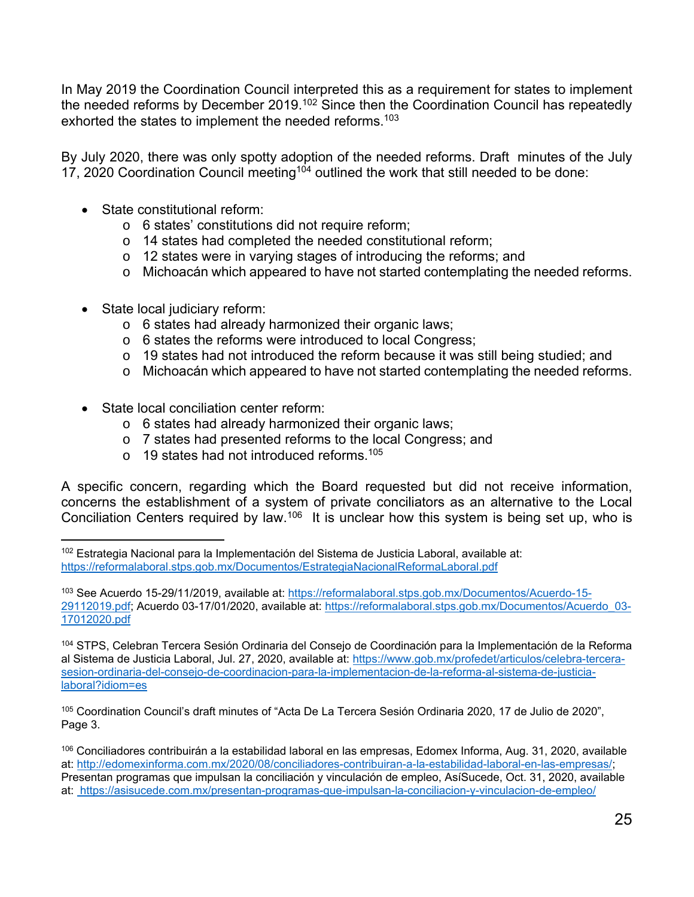In May 2019 the Coordination Council interpreted this as a requirement for states to implement the needed reforms by December 2019.<sup>102</sup> Since then the Coordination Council has repeatedly exhorted the states to implement the needed reforms.<sup>103</sup>

By July 2020, there was only spotty adoption of the needed reforms. Draft minutes of the July 17, 2020 Coordination Council meeting<sup>104</sup> outlined the work that still needed to be done:

- State constitutional reform:
	- o 6 states' constitutions did not require reform;
	- o 14 states had completed the needed constitutional reform;
	- o 12 states were in varying stages of introducing the reforms; and
	- o Michoacán which appeared to have not started contemplating the needed reforms.
- State local judiciary reform:
	- o 6 states had already harmonized their organic laws;
	- o 6 states the reforms were introduced to local Congress;
	- o 19 states had not introduced the reform because it was still being studied; and
	- o Michoacán which appeared to have not started contemplating the needed reforms.
- State local conciliation center reform:
	- o 6 states had already harmonized their organic laws;
	- o 7 states had presented reforms to the local Congress; and
	- $\circ$  19 states had not introduced reforms.<sup>105</sup>

A specific concern, regarding which the Board requested but did not receive information, concerns the establishment of a system of private conciliators as an alternative to the Local Conciliation Centers required by law.<sup>106</sup> It is unclear how this system is being set up, who is

<sup>103</sup> See Acuerdo 15-29/11/2019, available at: https://reformalaboral.stps.gob.mx/Documentos/Acuerdo-15-29112019.pdf; Acuerdo 03-17/01/2020, available at: https://reformalaboral.stps.gob.mx/Documentos/Acuerdo\_03- 17012020.pdf

104 STPS, Celebran Tercera Sesión Ordinaria del Consejo de Coordinación para la Implementación de la Reforma al Sistema de Justicia Laboral, Jul. 27, 2020, available at: https://www.gob.mx/profedet/articulos/celebra-tercerasesion-ordinaria-del-consejo-de-coordinacion-para-la-implementacion-de-la-reforma-al-sistema-de-justicialaboral?idiom=es

<sup>105</sup> Coordination Council's draft minutes of "Acta De La Tercera Sesión Ordinaria 2020, 17 de Julio de 2020", Page 3.

106 Conciliadores contribuirán a la estabilidad laboral en las empresas, Edomex Informa, Aug. 31, 2020, available at: http://edomexinforma.com.mx/2020/08/conciliadores-contribuiran-a-la-estabilidad-laboral-en-las-empresas/; Presentan programas que impulsan la conciliación y vinculación de empleo, AsíSucede, Oct. 31, 2020, available at: https://asisucede.com.mx/presentan-programas-que-impulsan-la-conciliacion-y-vinculacion-de-empleo/

l 102 Estrategia Nacional para la Implementación del Sistema de Justicia Laboral, available at: https://reformalaboral.stps.gob.mx/Documentos/EstrategiaNacionalReformaLaboral.pdf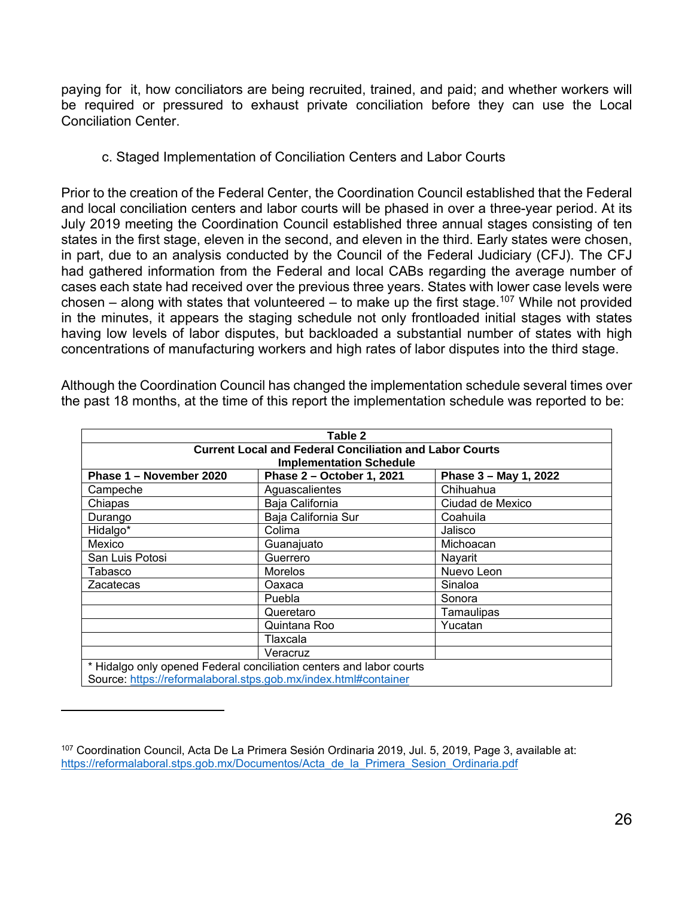paying for it, how conciliators are being recruited, trained, and paid; and whether workers will be required or pressured to exhaust private conciliation before they can use the Local Conciliation Center.

c. Staged Implementation of Conciliation Centers and Labor Courts

Prior to the creation of the Federal Center, the Coordination Council established that the Federal and local conciliation centers and labor courts will be phased in over a three-year period. At its July 2019 meeting the Coordination Council established three annual stages consisting of ten states in the first stage, eleven in the second, and eleven in the third. Early states were chosen, in part, due to an analysis conducted by the Council of the Federal Judiciary (CFJ). The CFJ had gathered information from the Federal and local CABs regarding the average number of cases each state had received over the previous three years. States with lower case levels were chosen – along with states that volunteered – to make up the first stage.<sup>107</sup> While not provided in the minutes, it appears the staging schedule not only frontloaded initial stages with states having low levels of labor disputes, but backloaded a substantial number of states with high concentrations of manufacturing workers and high rates of labor disputes into the third stage.

| Table 2                                                                                          |                                                                     |                       |  |  |  |  |  |
|--------------------------------------------------------------------------------------------------|---------------------------------------------------------------------|-----------------------|--|--|--|--|--|
| <b>Current Local and Federal Conciliation and Labor Courts</b><br><b>Implementation Schedule</b> |                                                                     |                       |  |  |  |  |  |
| Phase 1 - November 2020                                                                          | Phase 2 - October 1, 2021                                           | Phase 3 - May 1, 2022 |  |  |  |  |  |
| Campeche                                                                                         | Aguascalientes                                                      | Chihuahua             |  |  |  |  |  |
| Chiapas                                                                                          | Baja California                                                     | Ciudad de Mexico      |  |  |  |  |  |
| Durango                                                                                          | Baja California Sur                                                 | Coahuila              |  |  |  |  |  |
| Hidalgo*                                                                                         | Colima                                                              | Jalisco               |  |  |  |  |  |
| Mexico                                                                                           | Guanajuato                                                          | Michoacan             |  |  |  |  |  |
| San Luis Potosi                                                                                  | Guerrero                                                            | Nayarit               |  |  |  |  |  |
| Tabasco                                                                                          | <b>Morelos</b>                                                      | Nuevo Leon            |  |  |  |  |  |
| Zacatecas                                                                                        | Oaxaca                                                              | Sinaloa               |  |  |  |  |  |
|                                                                                                  | Puebla                                                              | Sonora                |  |  |  |  |  |
|                                                                                                  | Queretaro                                                           | Tamaulipas            |  |  |  |  |  |
|                                                                                                  | Quintana Roo                                                        | Yucatan               |  |  |  |  |  |
|                                                                                                  | Tlaxcala                                                            |                       |  |  |  |  |  |
|                                                                                                  | Veracruz                                                            |                       |  |  |  |  |  |
| Source: https://reformalaboral.stps.gob.mx/index.html#container                                  | * Hidalgo only opened Federal conciliation centers and labor courts |                       |  |  |  |  |  |

Although the Coordination Council has changed the implementation schedule several times over the past 18 months, at the time of this report the implementation schedule was reported to be:

 $\overline{a}$ 

<sup>107</sup> Coordination Council, Acta De La Primera Sesión Ordinaria 2019, Jul. 5, 2019, Page 3, available at: https://reformalaboral.stps.gob.mx/Documentos/Acta\_de\_la\_Primera\_Sesion\_Ordinaria.pdf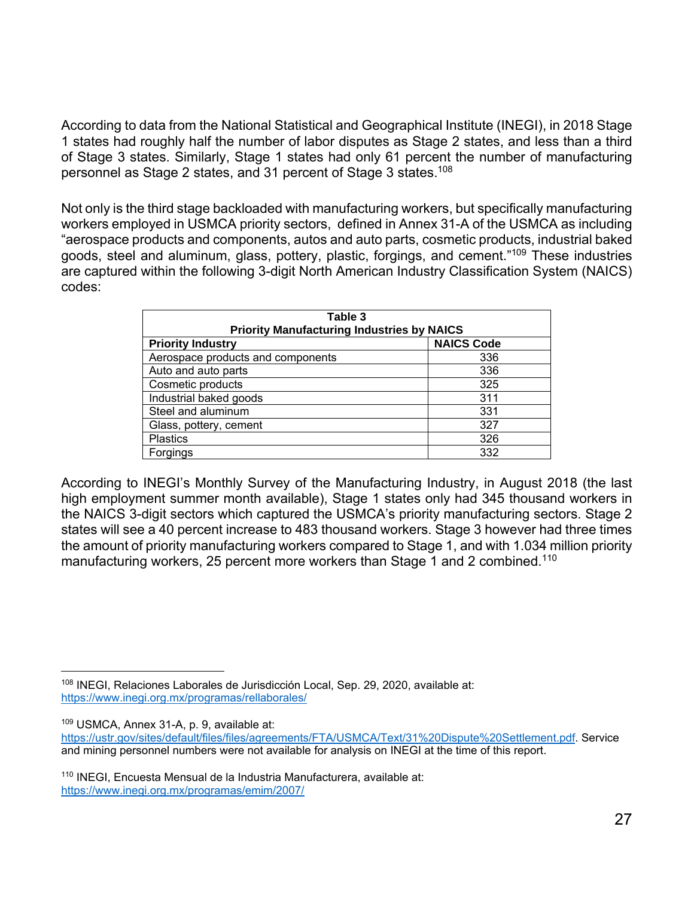According to data from the National Statistical and Geographical Institute (INEGI), in 2018 Stage 1 states had roughly half the number of labor disputes as Stage 2 states, and less than a third of Stage 3 states. Similarly, Stage 1 states had only 61 percent the number of manufacturing personnel as Stage 2 states, and 31 percent of Stage 3 states.108

Not only is the third stage backloaded with manufacturing workers, but specifically manufacturing workers employed in USMCA priority sectors, defined in Annex 31-A of the USMCA as including "aerospace products and components, autos and auto parts, cosmetic products, industrial baked goods, steel and aluminum, glass, pottery, plastic, forgings, and cement."109 These industries are captured within the following 3-digit North American Industry Classification System (NAICS) codes:

| Table 3<br><b>Priority Manufacturing Industries by NAICS</b> |     |  |  |  |  |
|--------------------------------------------------------------|-----|--|--|--|--|
| <b>NAICS Code</b><br><b>Priority Industry</b>                |     |  |  |  |  |
| Aerospace products and components                            | 336 |  |  |  |  |
| Auto and auto parts                                          | 336 |  |  |  |  |
| Cosmetic products                                            | 325 |  |  |  |  |
| Industrial baked goods                                       | 311 |  |  |  |  |
| Steel and aluminum                                           | 331 |  |  |  |  |
| Glass, pottery, cement                                       | 327 |  |  |  |  |
| <b>Plastics</b>                                              | 326 |  |  |  |  |
| Forgings                                                     | 332 |  |  |  |  |

According to INEGI's Monthly Survey of the Manufacturing Industry, in August 2018 (the last high employment summer month available), Stage 1 states only had 345 thousand workers in the NAICS 3-digit sectors which captured the USMCA's priority manufacturing sectors. Stage 2 states will see a 40 percent increase to 483 thousand workers. Stage 3 however had three times the amount of priority manufacturing workers compared to Stage 1, and with 1.034 million priority manufacturing workers, 25 percent more workers than Stage 1 and 2 combined.<sup>110</sup>

 $\overline{a}$ 

<sup>108</sup> INEGI, Relaciones Laborales de Jurisdicción Local, Sep. 29, 2020, available at: https://www.inegi.org.mx/programas/rellaborales/

<sup>109</sup> USMCA, Annex 31-A, p. 9, available at:

https://ustr.gov/sites/default/files/files/agreements/FTA/USMCA/Text/31%20Dispute%20Settlement.pdf. Service and mining personnel numbers were not available for analysis on INEGI at the time of this report.

<sup>&</sup>lt;sup>110</sup> INEGI, Encuesta Mensual de la Industria Manufacturera, available at: https://www.inegi.org.mx/programas/emim/2007/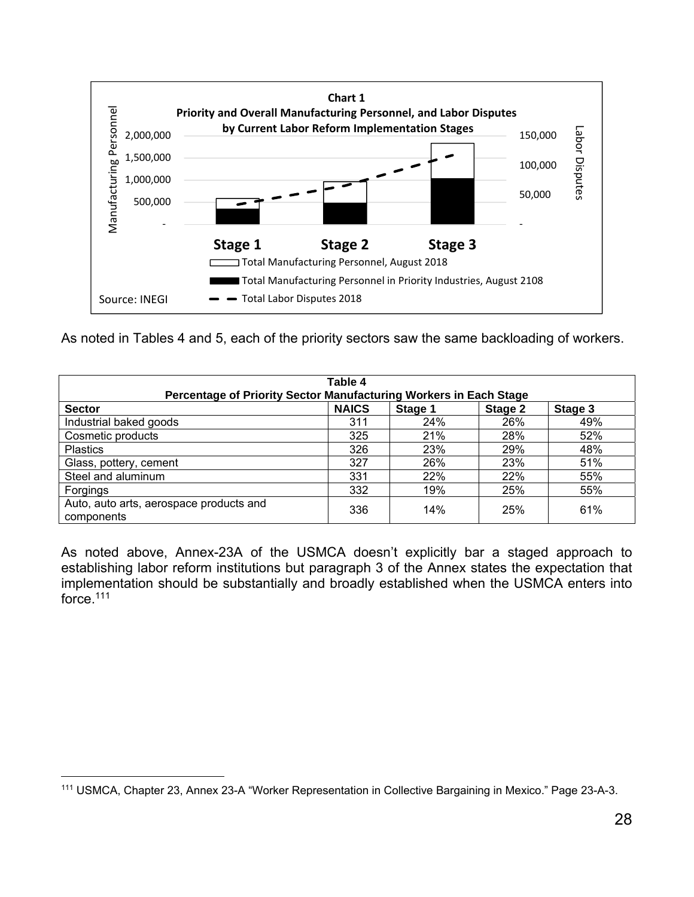

As noted in Tables 4 and 5, each of the priority sectors saw the same backloading of workers.

| Table 4<br>Percentage of Priority Sector Manufacturing Workers in Each Stage |              |         |         |         |  |  |  |  |
|------------------------------------------------------------------------------|--------------|---------|---------|---------|--|--|--|--|
| <b>Sector</b>                                                                | <b>NAICS</b> | Stage 1 | Stage 2 | Stage 3 |  |  |  |  |
| Industrial baked goods                                                       | 311          | 24%     | 26%     | 49%     |  |  |  |  |
| Cosmetic products                                                            | 325          | 21%     | 28%     | 52%     |  |  |  |  |
| <b>Plastics</b>                                                              | 326          | 23%     | 29%     | 48%     |  |  |  |  |
| Glass, pottery, cement                                                       | 327          | 26%     | 23%     | 51%     |  |  |  |  |
| Steel and aluminum                                                           | 331          | 22%     | 22%     | 55%     |  |  |  |  |
| Forgings                                                                     | 332          | 19%     | 25%     | 55%     |  |  |  |  |
| Auto, auto arts, aerospace products and<br>components                        | 336          | 14%     | 25%     | 61%     |  |  |  |  |

As noted above, Annex-23A of the USMCA doesn't explicitly bar a staged approach to establishing labor reform institutions but paragraph 3 of the Annex states the expectation that implementation should be substantially and broadly established when the USMCA enters into force.<sup>111</sup>

 $\overline{a}$ 111 USMCA, Chapter 23, Annex 23-A "Worker Representation in Collective Bargaining in Mexico." Page 23-A-3.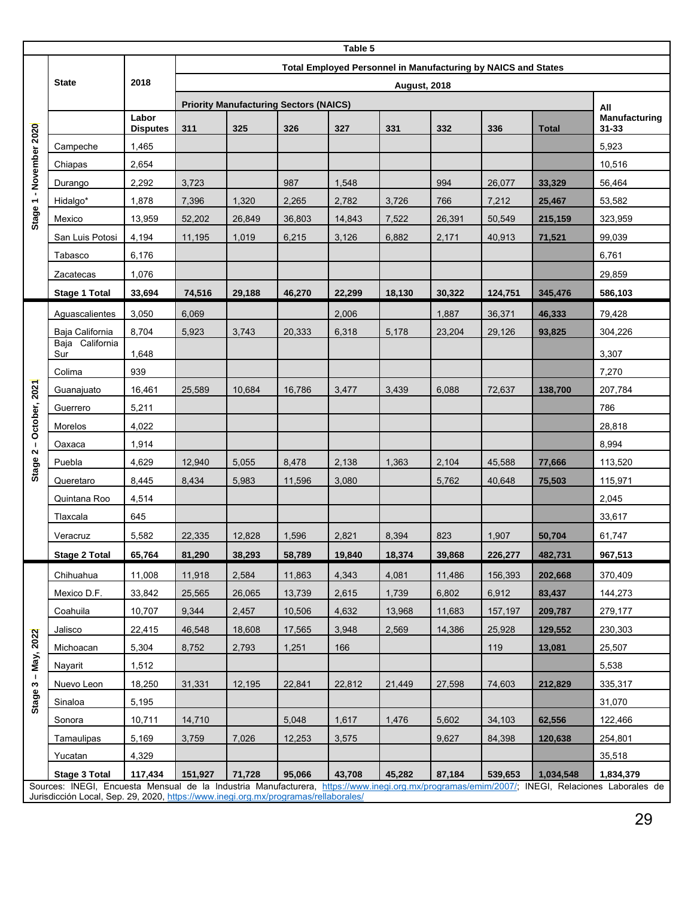|                         | Table 5                                                                                                                                                                                                                              |                          |                                                               |        |        |        |        |        |         |              |                        |
|-------------------------|--------------------------------------------------------------------------------------------------------------------------------------------------------------------------------------------------------------------------------------|--------------------------|---------------------------------------------------------------|--------|--------|--------|--------|--------|---------|--------------|------------------------|
|                         | <b>State</b>                                                                                                                                                                                                                         |                          | Total Employed Personnel in Manufacturing by NAICS and States |        |        |        |        |        |         |              |                        |
|                         |                                                                                                                                                                                                                                      | 2018                     | <b>August, 2018</b>                                           |        |        |        |        |        |         |              |                        |
| Stage 1 - November 2020 |                                                                                                                                                                                                                                      |                          | <b>Priority Manufacturing Sectors (NAICS)</b>                 |        |        |        |        |        |         | All          |                        |
|                         |                                                                                                                                                                                                                                      | Labor<br><b>Disputes</b> | 311                                                           | 325    | 326    | 327    | 331    | 332    | 336     | <b>Total</b> | Manufacturing<br>31-33 |
|                         | Campeche                                                                                                                                                                                                                             | 1,465                    |                                                               |        |        |        |        |        |         |              | 5,923                  |
|                         | Chiapas                                                                                                                                                                                                                              | 2,654                    |                                                               |        |        |        |        |        |         |              | 10,516                 |
|                         | Durango                                                                                                                                                                                                                              | 2,292                    | 3,723                                                         |        | 987    | 1,548  |        | 994    | 26,077  | 33,329       | 56,464                 |
|                         | Hidalgo*                                                                                                                                                                                                                             | 1,878                    | 7,396                                                         | 1,320  | 2,265  | 2,782  | 3,726  | 766    | 7,212   | 25,467       | 53,582                 |
|                         | Mexico                                                                                                                                                                                                                               | 13,959                   | 52,202                                                        | 26,849 | 36,803 | 14,843 | 7,522  | 26,391 | 50,549  | 215,159      | 323,959                |
|                         | San Luis Potosi                                                                                                                                                                                                                      | 4,194                    | 11,195                                                        | 1,019  | 6,215  | 3,126  | 6,882  | 2,171  | 40,913  | 71,521       | 99,039                 |
|                         | Tabasco                                                                                                                                                                                                                              | 6,176                    |                                                               |        |        |        |        |        |         |              | 6,761                  |
|                         | Zacatecas                                                                                                                                                                                                                            | 1,076                    |                                                               |        |        |        |        |        |         |              | 29,859                 |
|                         | <b>Stage 1 Total</b>                                                                                                                                                                                                                 | 33,694                   | 74,516                                                        | 29,188 | 46,270 | 22,299 | 18,130 | 30,322 | 124,751 | 345,476      | 586,103                |
|                         | Aguascalientes                                                                                                                                                                                                                       | 3,050                    | 6,069                                                         |        |        | 2,006  |        | 1,887  | 36,371  | 46,333       | 79,428                 |
|                         | Baja California                                                                                                                                                                                                                      | 8,704                    | 5,923                                                         | 3,743  | 20,333 | 6,318  | 5,178  | 23,204 | 29,126  | 93,825       | 304,226                |
|                         | Baja California<br>Sur                                                                                                                                                                                                               | 1,648                    |                                                               |        |        |        |        |        |         |              | 3,307                  |
|                         | Colima                                                                                                                                                                                                                               | 939                      |                                                               |        |        |        |        |        |         |              | 7,270                  |
|                         | Guanajuato                                                                                                                                                                                                                           | 16,461                   | 25,589                                                        | 10,684 | 16,786 | 3,477  | 3,439  | 6,088  | 72,637  | 138,700      | 207,784                |
| Stage 2 - October, 2021 | Guerrero                                                                                                                                                                                                                             | 5,211                    |                                                               |        |        |        |        |        |         |              | 786                    |
|                         | Morelos                                                                                                                                                                                                                              | 4,022                    |                                                               |        |        |        |        |        |         |              | 28,818                 |
|                         | Oaxaca                                                                                                                                                                                                                               | 1,914                    |                                                               |        |        |        |        |        |         |              | 8,994                  |
|                         | Puebla                                                                                                                                                                                                                               | 4,629                    | 12,940                                                        | 5,055  | 8,478  | 2,138  | 1,363  | 2,104  | 45,588  | 77,666       | 113,520                |
|                         | Queretaro                                                                                                                                                                                                                            | 8,445                    | 8,434                                                         | 5,983  | 11,596 | 3,080  |        | 5,762  | 40,648  | 75,503       | 115,971                |
|                         | Quintana Roo                                                                                                                                                                                                                         | 4,514                    |                                                               |        |        |        |        |        |         |              | 2,045                  |
|                         | Tlaxcala                                                                                                                                                                                                                             | 645                      |                                                               |        |        |        |        |        |         |              | 33,617                 |
|                         | Veracruz                                                                                                                                                                                                                             | 5,582                    | 22,335                                                        | 12,828 | 1,596  | 2,821  | 8,394  | 823    | 1,907   | 50,704       | 61,747                 |
|                         | <b>Stage 2 Total</b>                                                                                                                                                                                                                 | 65,764                   | 81,290                                                        | 38,293 | 58,789 | 19,840 | 18,374 | 39,868 | 226,277 | 482,731      | 967,513                |
|                         | Chihuahua                                                                                                                                                                                                                            | 11,008                   | 11,918                                                        | 2,584  | 11,863 | 4,343  | 4,081  | 11,486 | 156,393 | 202,668      | 370,409                |
|                         | Mexico D.F.                                                                                                                                                                                                                          | 33,842                   | 25,565                                                        | 26,065 | 13,739 | 2,615  | 1,739  | 6,802  | 6,912   | 83,437       | 144,273                |
|                         | Coahuila                                                                                                                                                                                                                             | 10,707                   | 9,344                                                         | 2,457  | 10,506 | 4,632  | 13,968 | 11,683 | 157,197 | 209,787      | 279,177                |
|                         | Jalisco                                                                                                                                                                                                                              | 22,415                   | 46,548                                                        | 18,608 | 17,565 | 3,948  | 2,569  | 14,386 | 25,928  | 129,552      | 230,303                |
|                         | Michoacan                                                                                                                                                                                                                            | 5,304                    | 8,752                                                         | 2,793  | 1,251  | 166    |        |        | 119     | 13,081       | 25,507                 |
| Stage 3 - May, 2022     | Nayarit                                                                                                                                                                                                                              | 1,512                    |                                                               |        |        |        |        |        |         |              | 5,538                  |
|                         | Nuevo Leon                                                                                                                                                                                                                           | 18,250                   | 31,331                                                        | 12,195 | 22,841 | 22,812 | 21,449 | 27,598 | 74,603  | 212,829      | 335,317                |
|                         | Sinaloa                                                                                                                                                                                                                              | 5,195                    |                                                               |        |        |        |        |        |         |              | 31,070                 |
|                         | Sonora                                                                                                                                                                                                                               | 10,711                   | 14,710                                                        |        | 5,048  | 1,617  | 1,476  | 5,602  | 34,103  | 62,556       | 122,466                |
|                         | Tamaulipas                                                                                                                                                                                                                           | 5,169                    | 3,759                                                         | 7,026  | 12,253 | 3,575  |        | 9,627  | 84,398  | 120,638      | 254,801                |
|                         | Yucatan                                                                                                                                                                                                                              | 4,329                    |                                                               |        |        |        |        |        |         |              | 35,518                 |
|                         | <b>Stage 3 Total</b>                                                                                                                                                                                                                 | 117,434                  | 151,927                                                       | 71,728 | 95,066 | 43,708 | 45,282 | 87,184 | 539,653 | 1,034,548    | 1,834,379              |
|                         | Sources: INEGI, Encuesta Mensual de la Industria Manufacturera, https://www.inegi.org.mx/programas/emim/2007/; INEGI, Relaciones Laborales de<br>Jurisdicción Local, Sep. 29, 2020, https://www.inegi.org.mx/programas/rellaborales/ |                          |                                                               |        |        |        |        |        |         |              |                        |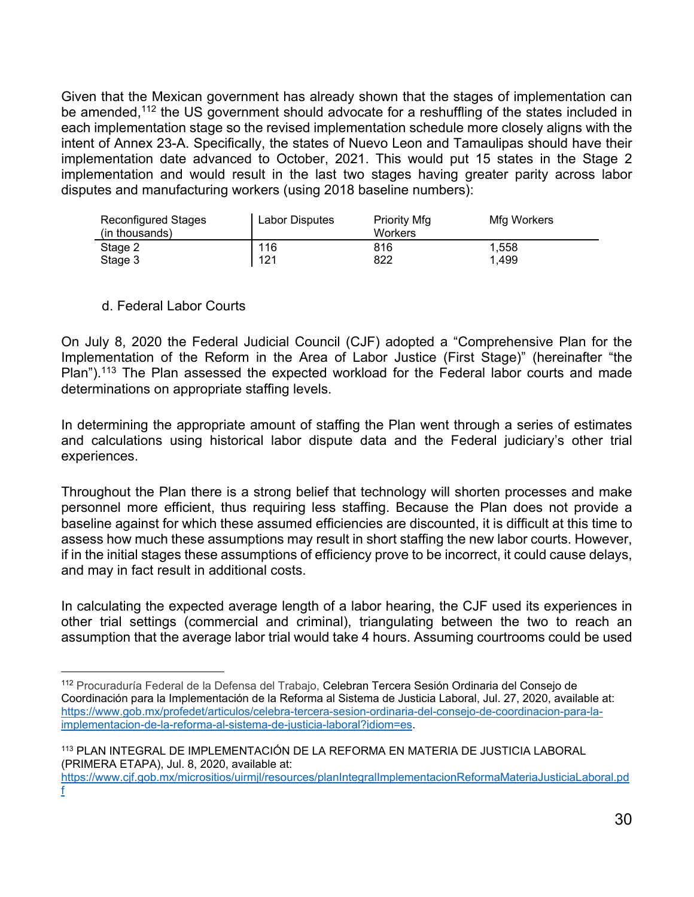Given that the Mexican government has already shown that the stages of implementation can be amended,<sup>112</sup> the US government should advocate for a reshuffling of the states included in each implementation stage so the revised implementation schedule more closely aligns with the intent of Annex 23-A. Specifically, the states of Nuevo Leon and Tamaulipas should have their implementation date advanced to October, 2021. This would put 15 states in the Stage 2 implementation and would result in the last two stages having greater parity across labor disputes and manufacturing workers (using 2018 baseline numbers):

| <b>Reconfigured Stages</b> | Labor Disputes | <b>Priority Mfg</b> | Mfg Workers |  |
|----------------------------|----------------|---------------------|-------------|--|
| (in thousands)             |                | Workers             |             |  |
| Stage 2                    | 116            | 816                 | 1.558       |  |
| Stage 3                    | 121            | 822                 | 1.499       |  |

#### d. Federal Labor Courts

l

On July 8, 2020 the Federal Judicial Council (CJF) adopted a "Comprehensive Plan for the Implementation of the Reform in the Area of Labor Justice (First Stage)" (hereinafter "the Plan").<sup>113</sup> The Plan assessed the expected workload for the Federal labor courts and made determinations on appropriate staffing levels.

In determining the appropriate amount of staffing the Plan went through a series of estimates and calculations using historical labor dispute data and the Federal judiciary's other trial experiences.

Throughout the Plan there is a strong belief that technology will shorten processes and make personnel more efficient, thus requiring less staffing. Because the Plan does not provide a baseline against for which these assumed efficiencies are discounted, it is difficult at this time to assess how much these assumptions may result in short staffing the new labor courts. However, if in the initial stages these assumptions of efficiency prove to be incorrect, it could cause delays, and may in fact result in additional costs.

In calculating the expected average length of a labor hearing, the CJF used its experiences in other trial settings (commercial and criminal), triangulating between the two to reach an assumption that the average labor trial would take 4 hours. Assuming courtrooms could be used

<sup>112</sup> Procuraduría Federal de la Defensa del Trabajo, Celebran Tercera Sesión Ordinaria del Consejo de Coordinación para la Implementación de la Reforma al Sistema de Justicia Laboral, Jul. 27, 2020, available at: https://www.gob.mx/profedet/articulos/celebra-tercera-sesion-ordinaria-del-consejo-de-coordinacion-para-laimplementacion-de-la-reforma-al-sistema-de-justicia-laboral?idiom=es.

<sup>113</sup> PLAN INTEGRAL DE IMPLEMENTACIÓN DE LA REFORMA EN MATERIA DE JUSTICIA LABORAL (PRIMERA ETAPA), Jul. 8, 2020, available at:

https://www.cjf.gob.mx/micrositios/uirmjl/resources/planIntegralImplementacionReformaMateriaJusticiaLaboral.pd f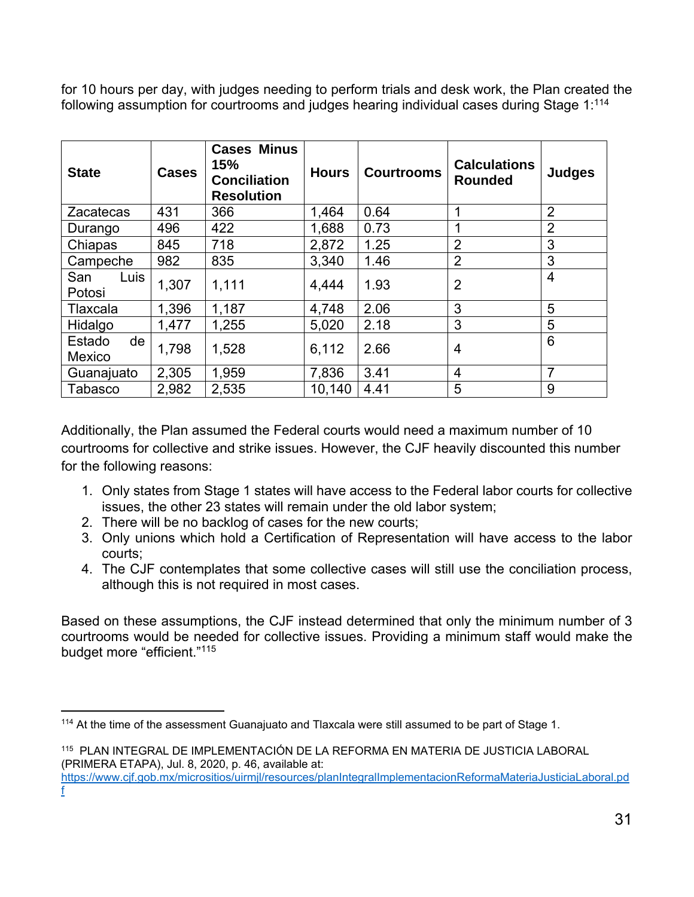for 10 hours per day, with judges needing to perform trials and desk work, the Plan created the following assumption for courtrooms and judges hearing individual cases during Stage 1:<sup>114</sup>

| <b>State</b>           | <b>Cases</b> | <b>Cases Minus</b><br>15%<br><b>Conciliation</b><br><b>Resolution</b> | <b>Hours</b> | <b>Courtrooms</b> | <b>Calculations</b><br><b>Rounded</b> | <b>Judges</b>  |
|------------------------|--------------|-----------------------------------------------------------------------|--------------|-------------------|---------------------------------------|----------------|
| <b>Zacatecas</b>       | 431          | 366                                                                   | 1,464        | 0.64              | 1                                     | $\overline{2}$ |
| Durango                | 496          | 422                                                                   | 1,688        | 0.73              | 1                                     | $\overline{2}$ |
| Chiapas                | 845          | 718                                                                   | 2,872        | 1.25              | $\overline{2}$                        | 3              |
| Campeche               | 982          | 835                                                                   | 3,340        | 1.46              | $\overline{2}$                        | 3              |
| San<br>Luis<br>Potosi  | 1,307        | 1,111                                                                 | 4,444        | 1.93              | $\overline{2}$                        | $\overline{4}$ |
| Tlaxcala               | 1,396        | 1,187                                                                 | 4,748        | 2.06              | 3                                     | 5              |
| Hidalgo                | 1,477        | 1,255                                                                 | 5,020        | 2.18              | 3                                     | 5              |
| Estado<br>de<br>Mexico | 1,798        | 1,528                                                                 | 6,112        | 2.66              | $\overline{4}$                        | 6              |
| Guanajuato             | 2,305        | 1,959                                                                 | 7,836        | 3.41              | $\overline{4}$                        | 7              |
| <b>Tabasco</b>         | 2,982        | 2,535                                                                 | 10,140       | 4.41              | 5                                     | 9              |

Additionally, the Plan assumed the Federal courts would need a maximum number of 10 courtrooms for collective and strike issues. However, the CJF heavily discounted this number for the following reasons:

- 1. Only states from Stage 1 states will have access to the Federal labor courts for collective issues, the other 23 states will remain under the old labor system;
- 2. There will be no backlog of cases for the new courts;

f

- 3. Only unions which hold a Certification of Representation will have access to the labor courts;
- 4. The CJF contemplates that some collective cases will still use the conciliation process, although this is not required in most cases.

Based on these assumptions, the CJF instead determined that only the minimum number of 3 courtrooms would be needed for collective issues. Providing a minimum staff would make the budget more "efficient."115

l <sup>114</sup> At the time of the assessment Guanajuato and Tlaxcala were still assumed to be part of Stage 1.

<sup>115</sup> PLAN INTEGRAL DE IMPLEMENTACIÓN DE LA REFORMA EN MATERIA DE JUSTICIA LABORAL (PRIMERA ETAPA), Jul. 8, 2020, p. 46, available at: https://www.cjf.gob.mx/micrositios/uirmjl/resources/planIntegralImplementacionReformaMateriaJusticiaLaboral.pd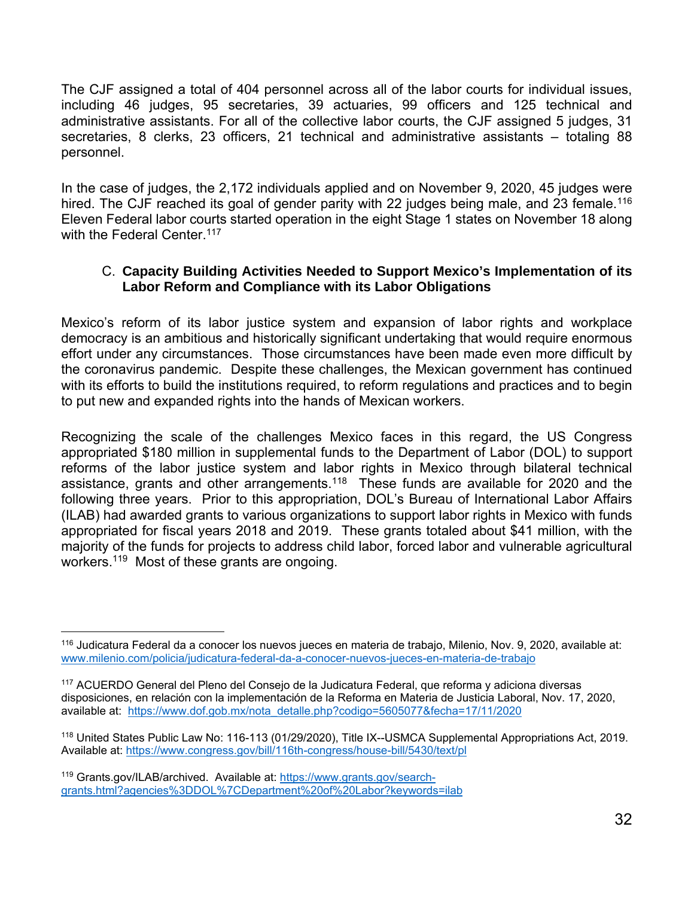The CJF assigned a total of 404 personnel across all of the labor courts for individual issues, including 46 judges, 95 secretaries, 39 actuaries, 99 officers and 125 technical and administrative assistants. For all of the collective labor courts, the CJF assigned 5 judges, 31 secretaries, 8 clerks, 23 officers, 21 technical and administrative assistants – totaling 88 personnel.

In the case of judges, the 2,172 individuals applied and on November 9, 2020, 45 judges were hired. The CJF reached its goal of gender parity with 22 judges being male, and 23 female.<sup>116</sup> Eleven Federal labor courts started operation in the eight Stage 1 states on November 18 along with the Federal Center.<sup>117</sup>

## C. **Capacity Building Activities Needed to Support Mexico's Implementation of its Labor Reform and Compliance with its Labor Obligations**

Mexico's reform of its labor justice system and expansion of labor rights and workplace democracy is an ambitious and historically significant undertaking that would require enormous effort under any circumstances. Those circumstances have been made even more difficult by the coronavirus pandemic. Despite these challenges, the Mexican government has continued with its efforts to build the institutions required, to reform regulations and practices and to begin to put new and expanded rights into the hands of Mexican workers.

Recognizing the scale of the challenges Mexico faces in this regard, the US Congress appropriated \$180 million in supplemental funds to the Department of Labor (DOL) to support reforms of the labor justice system and labor rights in Mexico through bilateral technical assistance, grants and other arrangements.<sup>118</sup> These funds are available for 2020 and the following three years. Prior to this appropriation, DOL's Bureau of International Labor Affairs (ILAB) had awarded grants to various organizations to support labor rights in Mexico with funds appropriated for fiscal years 2018 and 2019. These grants totaled about \$41 million, with the majority of the funds for projects to address child labor, forced labor and vulnerable agricultural workers.119 Most of these grants are ongoing.

l 116 Judicatura Federal da a conocer los nuevos jueces en materia de trabajo, Milenio, Nov. 9, 2020, available at: www.milenio.com/policia/judicatura-federal-da-a-conocer-nuevos-jueces-en-materia-de-trabajo

<sup>117</sup> ACUERDO General del Pleno del Consejo de la Judicatura Federal, que reforma y adiciona diversas disposiciones, en relación con la implementación de la Reforma en Materia de Justicia Laboral, Nov. 17, 2020, available at: https://www.dof.gob.mx/nota\_detalle.php?codigo=5605077&fecha=17/11/2020

<sup>118</sup> United States Public Law No: 116-113 (01/29/2020), Title IX--USMCA Supplemental Appropriations Act, 2019. Available at: https://www.congress.gov/bill/116th-congress/house-bill/5430/text/pl

<sup>119</sup> Grants.gov/ILAB/archived. Available at: https://www.grants.gov/searchgrants.html?agencies%3DDOL%7CDepartment%20of%20Labor?keywords=ilab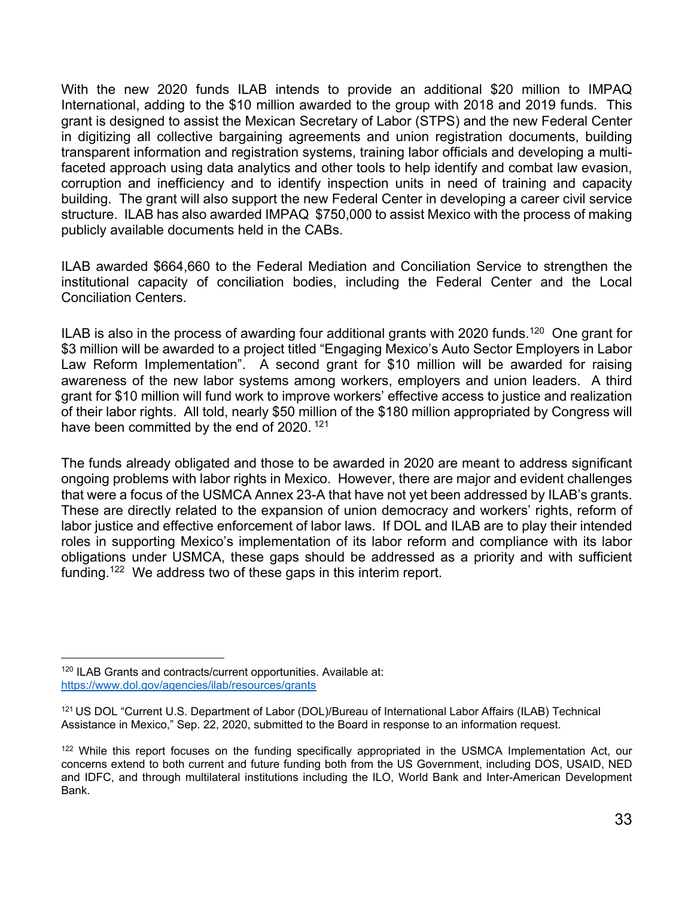With the new 2020 funds ILAB intends to provide an additional \$20 million to IMPAQ International, adding to the \$10 million awarded to the group with 2018 and 2019 funds. This grant is designed to assist the Mexican Secretary of Labor (STPS) and the new Federal Center in digitizing all collective bargaining agreements and union registration documents, building transparent information and registration systems, training labor officials and developing a multifaceted approach using data analytics and other tools to help identify and combat law evasion, corruption and inefficiency and to identify inspection units in need of training and capacity building. The grant will also support the new Federal Center in developing a career civil service structure. ILAB has also awarded IMPAQ \$750,000 to assist Mexico with the process of making publicly available documents held in the CABs.

ILAB awarded \$664,660 to the Federal Mediation and Conciliation Service to strengthen the institutional capacity of conciliation bodies, including the Federal Center and the Local Conciliation Centers.

ILAB is also in the process of awarding four additional grants with 2020 funds.<sup>120</sup> One grant for \$3 million will be awarded to a project titled "Engaging Mexico's Auto Sector Employers in Labor Law Reform Implementation". A second grant for \$10 million will be awarded for raising awareness of the new labor systems among workers, employers and union leaders. A third grant for \$10 million will fund work to improve workers' effective access to justice and realization of their labor rights. All told, nearly \$50 million of the \$180 million appropriated by Congress will have been committed by the end of 2020.<sup>121</sup>

The funds already obligated and those to be awarded in 2020 are meant to address significant ongoing problems with labor rights in Mexico. However, there are major and evident challenges that were a focus of the USMCA Annex 23-A that have not yet been addressed by ILAB's grants. These are directly related to the expansion of union democracy and workers' rights, reform of labor justice and effective enforcement of labor laws. If DOL and ILAB are to play their intended roles in supporting Mexico's implementation of its labor reform and compliance with its labor obligations under USMCA, these gaps should be addressed as a priority and with sufficient funding.<sup>122</sup> We address two of these gaps in this interim report.

l <sup>120</sup> ILAB Grants and contracts/current opportunities. Available at: https://www.dol.gov/agencies/ilab/resources/grants

<sup>121</sup> US DOL "Current U.S. Department of Labor (DOL)/Bureau of International Labor Affairs (ILAB) Technical Assistance in Mexico," Sep. 22, 2020, submitted to the Board in response to an information request.

<sup>&</sup>lt;sup>122</sup> While this report focuses on the funding specifically appropriated in the USMCA Implementation Act, our concerns extend to both current and future funding both from the US Government, including DOS, USAID, NED and IDFC, and through multilateral institutions including the ILO, World Bank and Inter-American Development Bank.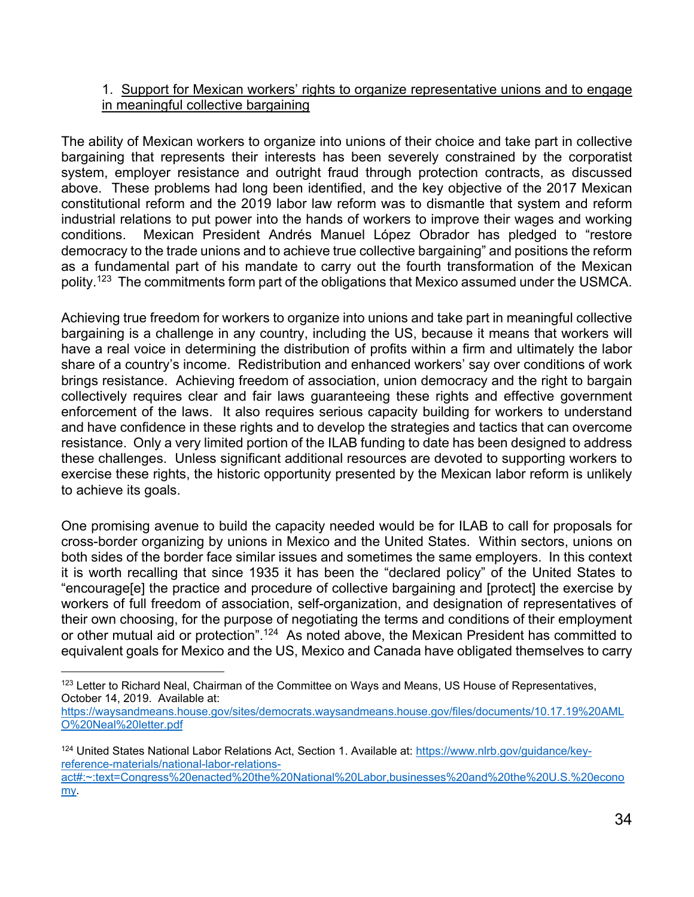## 1. Support for Mexican workers' rights to organize representative unions and to engage in meaningful collective bargaining

The ability of Mexican workers to organize into unions of their choice and take part in collective bargaining that represents their interests has been severely constrained by the corporatist system, employer resistance and outright fraud through protection contracts, as discussed above. These problems had long been identified, and the key objective of the 2017 Mexican constitutional reform and the 2019 labor law reform was to dismantle that system and reform industrial relations to put power into the hands of workers to improve their wages and working conditions. Mexican President Andrés Manuel López Obrador has pledged to "restore democracy to the trade unions and to achieve true collective bargaining" and positions the reform as a fundamental part of his mandate to carry out the fourth transformation of the Mexican polity.123 The commitments form part of the obligations that Mexico assumed under the USMCA.

Achieving true freedom for workers to organize into unions and take part in meaningful collective bargaining is a challenge in any country, including the US, because it means that workers will have a real voice in determining the distribution of profits within a firm and ultimately the labor share of a country's income. Redistribution and enhanced workers' say over conditions of work brings resistance. Achieving freedom of association, union democracy and the right to bargain collectively requires clear and fair laws guaranteeing these rights and effective government enforcement of the laws. It also requires serious capacity building for workers to understand and have confidence in these rights and to develop the strategies and tactics that can overcome resistance. Only a very limited portion of the ILAB funding to date has been designed to address these challenges. Unless significant additional resources are devoted to supporting workers to exercise these rights, the historic opportunity presented by the Mexican labor reform is unlikely to achieve its goals.

One promising avenue to build the capacity needed would be for ILAB to call for proposals for cross-border organizing by unions in Mexico and the United States. Within sectors, unions on both sides of the border face similar issues and sometimes the same employers. In this context it is worth recalling that since 1935 it has been the "declared policy" of the United States to "encourage[e] the practice and procedure of collective bargaining and [protect] the exercise by workers of full freedom of association, self-organization, and designation of representatives of their own choosing, for the purpose of negotiating the terms and conditions of their employment or other mutual aid or protection".<sup>124</sup> As noted above, the Mexican President has committed to equivalent goals for Mexico and the US, Mexico and Canada have obligated themselves to carry

l

<sup>&</sup>lt;sup>123</sup> Letter to Richard Neal, Chairman of the Committee on Ways and Means, US House of Representatives, October 14, 2019. Available at:

https://waysandmeans.house.gov/sites/democrats.waysandmeans.house.gov/files/documents/10.17.19%20AML O%20Neal%20letter.pdf

<sup>124</sup> United States National Labor Relations Act, Section 1. Available at: https://www.nlrb.gov/guidance/keyreference-materials/national-labor-relationsact#:~:text=Congress%20enacted%20the%20National%20Labor,businesses%20and%20the%20U.S.%20econo my.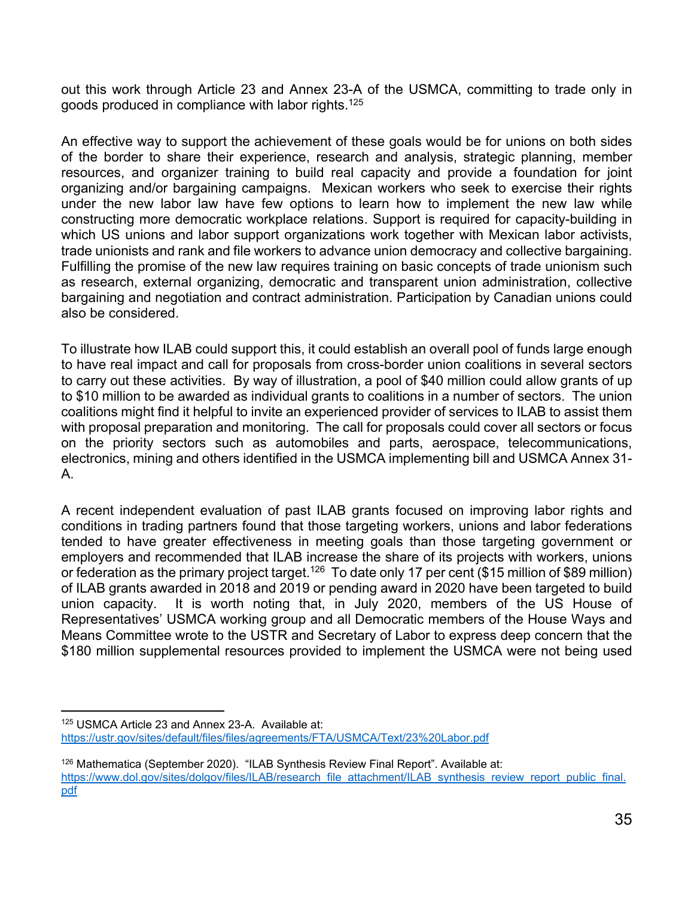out this work through Article 23 and Annex 23-A of the USMCA, committing to trade only in goods produced in compliance with labor rights.125

An effective way to support the achievement of these goals would be for unions on both sides of the border to share their experience, research and analysis, strategic planning, member resources, and organizer training to build real capacity and provide a foundation for joint organizing and/or bargaining campaigns. Mexican workers who seek to exercise their rights under the new labor law have few options to learn how to implement the new law while constructing more democratic workplace relations. Support is required for capacity-building in which US unions and labor support organizations work together with Mexican labor activists, trade unionists and rank and file workers to advance union democracy and collective bargaining. Fulfilling the promise of the new law requires training on basic concepts of trade unionism such as research, external organizing, democratic and transparent union administration, collective bargaining and negotiation and contract administration. Participation by Canadian unions could also be considered.

To illustrate how ILAB could support this, it could establish an overall pool of funds large enough to have real impact and call for proposals from cross-border union coalitions in several sectors to carry out these activities. By way of illustration, a pool of \$40 million could allow grants of up to \$10 million to be awarded as individual grants to coalitions in a number of sectors. The union coalitions might find it helpful to invite an experienced provider of services to ILAB to assist them with proposal preparation and monitoring. The call for proposals could cover all sectors or focus on the priority sectors such as automobiles and parts, aerospace, telecommunications, electronics, mining and others identified in the USMCA implementing bill and USMCA Annex 31- A.

A recent independent evaluation of past ILAB grants focused on improving labor rights and conditions in trading partners found that those targeting workers, unions and labor federations tended to have greater effectiveness in meeting goals than those targeting government or employers and recommended that ILAB increase the share of its projects with workers, unions or federation as the primary project target.<sup>126</sup> To date only 17 per cent (\$15 million of \$89 million) of ILAB grants awarded in 2018 and 2019 or pending award in 2020 have been targeted to build union capacity. It is worth noting that, in July 2020, members of the US House of Representatives' USMCA working group and all Democratic members of the House Ways and Means Committee wrote to the USTR and Secretary of Labor to express deep concern that the \$180 million supplemental resources provided to implement the USMCA were not being used

l 125 USMCA Article 23 and Annex 23-A. Available at: https://ustr.gov/sites/default/files/files/agreements/FTA/USMCA/Text/23%20Labor.pdf

 $126$  Mathematica (September 2020). "ILAB Synthesis Review Final Report". Available at: https://www.dol.gov/sites/dolgov/files/ILAB/research\_file\_attachment/ILAB\_synthesis\_review\_report\_public\_final. pdf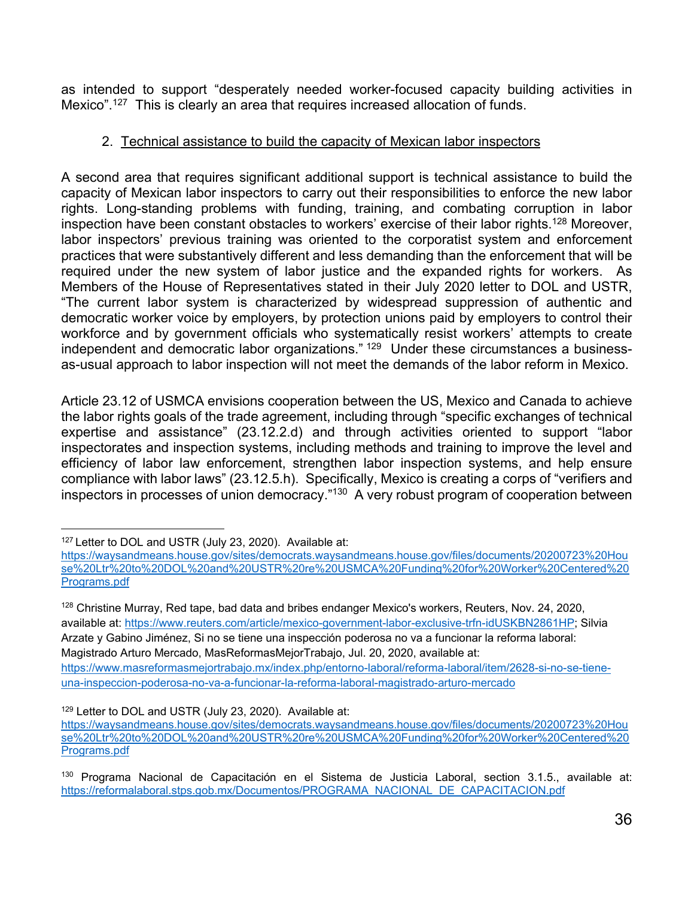as intended to support "desperately needed worker-focused capacity building activities in Mexico".127 This is clearly an area that requires increased allocation of funds.

### 2. Technical assistance to build the capacity of Mexican labor inspectors

A second area that requires significant additional support is technical assistance to build the capacity of Mexican labor inspectors to carry out their responsibilities to enforce the new labor rights. Long-standing problems with funding, training, and combating corruption in labor inspection have been constant obstacles to workers' exercise of their labor rights.<sup>128</sup> Moreover, labor inspectors' previous training was oriented to the corporatist system and enforcement practices that were substantively different and less demanding than the enforcement that will be required under the new system of labor justice and the expanded rights for workers. As Members of the House of Representatives stated in their July 2020 letter to DOL and USTR, "The current labor system is characterized by widespread suppression of authentic and democratic worker voice by employers, by protection unions paid by employers to control their workforce and by government officials who systematically resist workers' attempts to create independent and democratic labor organizations."  $129$  Under these circumstances a businessas-usual approach to labor inspection will not meet the demands of the labor reform in Mexico.

Article 23.12 of USMCA envisions cooperation between the US, Mexico and Canada to achieve the labor rights goals of the trade agreement, including through "specific exchanges of technical expertise and assistance" (23.12.2.d) and through activities oriented to support "labor inspectorates and inspection systems, including methods and training to improve the level and efficiency of labor law enforcement, strengthen labor inspection systems, and help ensure compliance with labor laws" (23.12.5.h). Specifically, Mexico is creating a corps of "verifiers and inspectors in processes of union democracy."130 A very robust program of cooperation between

<sup>129</sup> Letter to DOL and USTR (July 23, 2020). Available at:

l <sup>127</sup> Letter to DOL and USTR (July 23, 2020). Available at:

https://waysandmeans.house.gov/sites/democrats.waysandmeans.house.gov/files/documents/20200723%20Hou se%20Ltr%20to%20DOL%20and%20USTR%20re%20USMCA%20Funding%20for%20Worker%20Centered%20 Programs.pdf

<sup>&</sup>lt;sup>128</sup> Christine Murray, Red tape, bad data and bribes endanger Mexico's workers, Reuters, Nov. 24, 2020, available at: https://www.reuters.com/article/mexico-government-labor-exclusive-trfn-idUSKBN2861HP; Silvia Arzate y Gabino Jiménez, Si no se tiene una inspección poderosa no va a funcionar la reforma laboral: Magistrado Arturo Mercado, MasReformasMejorTrabajo, Jul. 20, 2020, available at: https://www.masreformasmejortrabajo.mx/index.php/entorno-laboral/reforma-laboral/item/2628-si-no-se-tieneuna-inspeccion-poderosa-no-va-a-funcionar-la-reforma-laboral-magistrado-arturo-mercado

https://waysandmeans.house.gov/sites/democrats.waysandmeans.house.gov/files/documents/20200723%20Hou se%20Ltr%20to%20DOL%20and%20USTR%20re%20USMCA%20Funding%20for%20Worker%20Centered%20 Programs.pdf

<sup>130</sup> Programa Nacional de Capacitación en el Sistema de Justicia Laboral, section 3.1.5., available at: https://reformalaboral.stps.gob.mx/Documentos/PROGRAMA\_NACIONAL\_DE\_CAPACITACION.pdf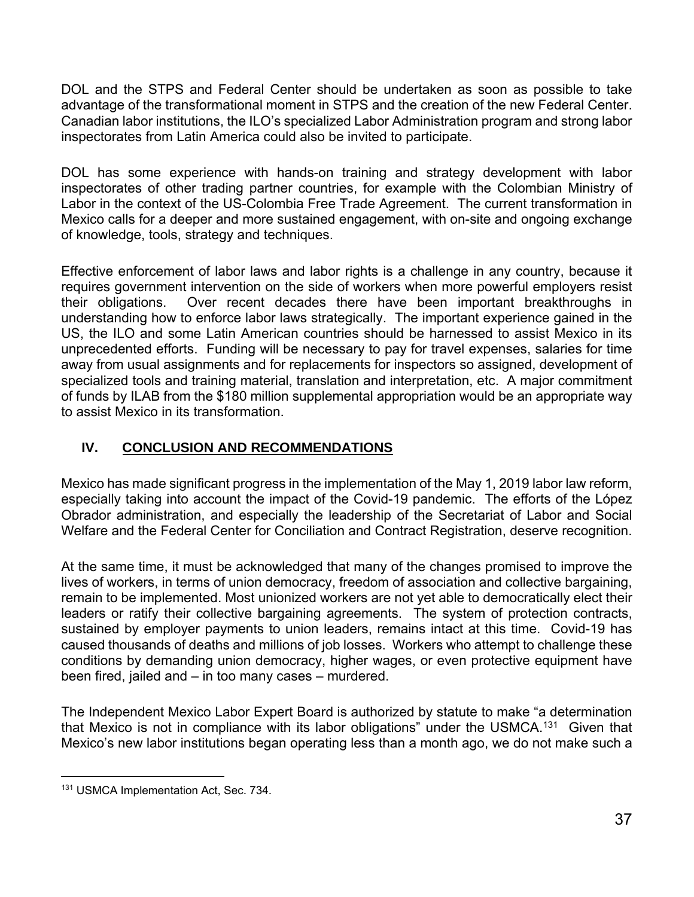DOL and the STPS and Federal Center should be undertaken as soon as possible to take advantage of the transformational moment in STPS and the creation of the new Federal Center. Canadian labor institutions, the ILO's specialized Labor Administration program and strong labor inspectorates from Latin America could also be invited to participate.

DOL has some experience with hands-on training and strategy development with labor inspectorates of other trading partner countries, for example with the Colombian Ministry of Labor in the context of the US-Colombia Free Trade Agreement. The current transformation in Mexico calls for a deeper and more sustained engagement, with on-site and ongoing exchange of knowledge, tools, strategy and techniques.

Effective enforcement of labor laws and labor rights is a challenge in any country, because it requires government intervention on the side of workers when more powerful employers resist their obligations. Over recent decades there have been important breakthroughs in understanding how to enforce labor laws strategically. The important experience gained in the US, the ILO and some Latin American countries should be harnessed to assist Mexico in its unprecedented efforts. Funding will be necessary to pay for travel expenses, salaries for time away from usual assignments and for replacements for inspectors so assigned, development of specialized tools and training material, translation and interpretation, etc. A major commitment of funds by ILAB from the \$180 million supplemental appropriation would be an appropriate way to assist Mexico in its transformation.

# **IV. CONCLUSION AND RECOMMENDATIONS**

Mexico has made significant progress in the implementation of the May 1, 2019 labor law reform, especially taking into account the impact of the Covid-19 pandemic. The efforts of the López Obrador administration, and especially the leadership of the Secretariat of Labor and Social Welfare and the Federal Center for Conciliation and Contract Registration, deserve recognition.

At the same time, it must be acknowledged that many of the changes promised to improve the lives of workers, in terms of union democracy, freedom of association and collective bargaining, remain to be implemented. Most unionized workers are not yet able to democratically elect their leaders or ratify their collective bargaining agreements. The system of protection contracts, sustained by employer payments to union leaders, remains intact at this time. Covid-19 has caused thousands of deaths and millions of job losses. Workers who attempt to challenge these conditions by demanding union democracy, higher wages, or even protective equipment have been fired, jailed and – in too many cases – murdered.

The Independent Mexico Labor Expert Board is authorized by statute to make "a determination that Mexico is not in compliance with its labor obligations" under the USMCA.<sup>131</sup> Given that Mexico's new labor institutions began operating less than a month ago, we do not make such a

 $\overline{a}$ 131 USMCA Implementation Act, Sec. 734.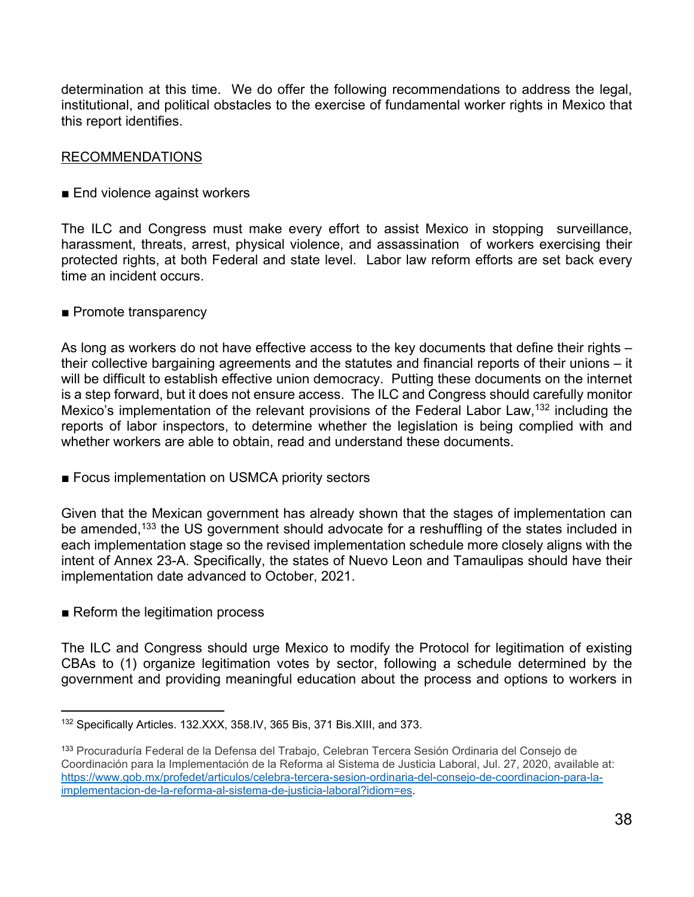determination at this time. We do offer the following recommendations to address the legal, institutional, and political obstacles to the exercise of fundamental worker rights in Mexico that this report identifies.

### RECOMMENDATIONS

■ End violence against workers

The ILC and Congress must make every effort to assist Mexico in stopping surveillance, harassment, threats, arrest, physical violence, and assassination of workers exercising their protected rights, at both Federal and state level. Labor law reform efforts are set back every time an incident occurs.

#### ■ Promote transparency

As long as workers do not have effective access to the key documents that define their rights – their collective bargaining agreements and the statutes and financial reports of their unions – it will be difficult to establish effective union democracy. Putting these documents on the internet is a step forward, but it does not ensure access. The ILC and Congress should carefully monitor Mexico's implementation of the relevant provisions of the Federal Labor Law,<sup>132</sup> including the reports of labor inspectors, to determine whether the legislation is being complied with and whether workers are able to obtain, read and understand these documents.

■ Focus implementation on USMCA priority sectors

Given that the Mexican government has already shown that the stages of implementation can be amended,<sup>133</sup> the US government should advocate for a reshuffling of the states included in each implementation stage so the revised implementation schedule more closely aligns with the intent of Annex 23-A. Specifically, the states of Nuevo Leon and Tamaulipas should have their implementation date advanced to October, 2021.

■ Reform the legitimation process

The ILC and Congress should urge Mexico to modify the Protocol for legitimation of existing CBAs to (1) organize legitimation votes by sector, following a schedule determined by the government and providing meaningful education about the process and options to workers in

l <sup>132</sup> Specifically Articles. 132.XXX, 358.IV, 365 Bis, 371 Bis.XIII, and 373.

<sup>&</sup>lt;sup>133</sup> Procuraduría Federal de la Defensa del Trabajo, Celebran Tercera Sesión Ordinaria del Consejo de Coordinación para la Implementación de la Reforma al Sistema de Justicia Laboral, Jul. 27, 2020, available at: https://www.gob.mx/profedet/articulos/celebra-tercera-sesion-ordinaria-del-consejo-de-coordinacion-para-laimplementacion-de-la-reforma-al-sistema-de-justicia-laboral?idiom=es.